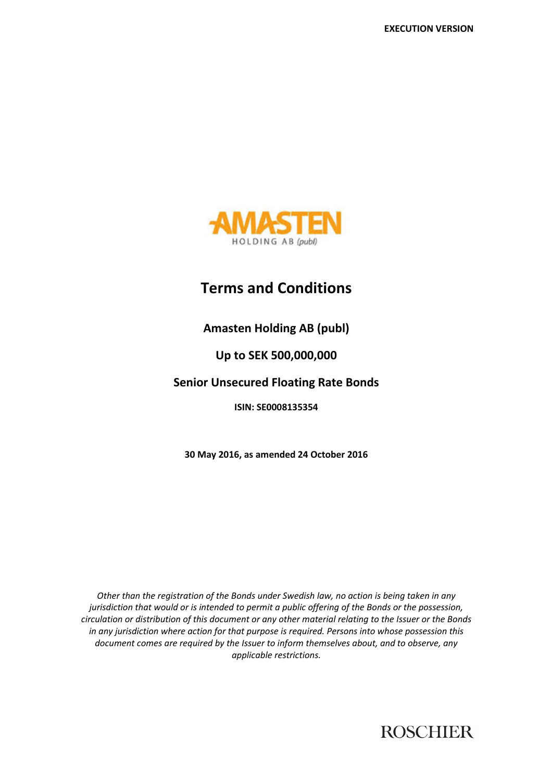

# **Terms and Conditions**

## **Amasten Holding AB (publ)**

## **Up to SEK 500,000,000**

## **Senior Unsecured Floating Rate Bonds**

## **ISIN: SE0008135354**

**30 May 2016, as amended 24 October 2016** 

*Other than the registration of the Bonds under Swedish law, no action is being taken in any jurisdiction that would or is intended to permit a public offering of the Bonds or the possession, circulation or distribution of this document or any other material relating to the Issuer or the Bonds in any jurisdiction where action for that purpose is required. Persons into whose possession this document comes are required by the Issuer to inform themselves about, and to observe, any applicable restrictions.* 

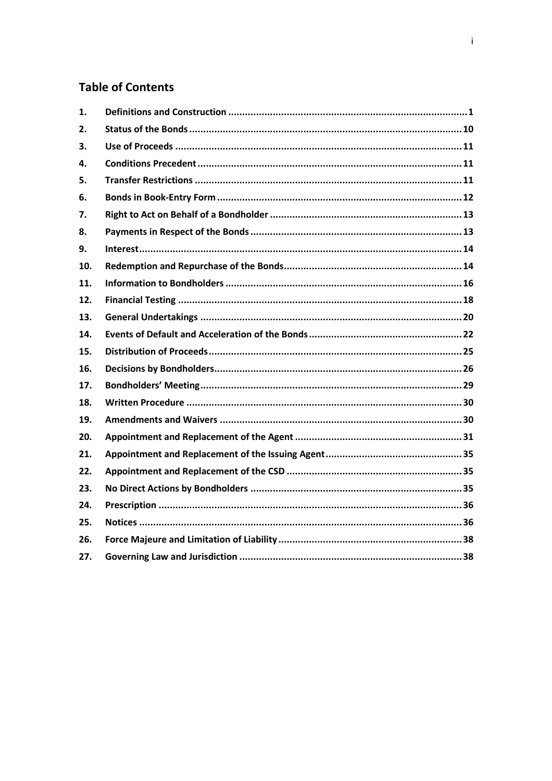## **Table of Contents**

| 1.  |  |
|-----|--|
| 2.  |  |
| 3.  |  |
| 4.  |  |
| 5.  |  |
| 6.  |  |
| 7.  |  |
| 8.  |  |
| 9.  |  |
| 10. |  |
| 11. |  |
| 12. |  |
| 13. |  |
| 14. |  |
| 15. |  |
| 16. |  |
| 17. |  |
| 18. |  |
| 19. |  |
| 20. |  |
| 21. |  |
| 22. |  |
| 23. |  |
| 24. |  |
| 25. |  |
| 26. |  |
| 27. |  |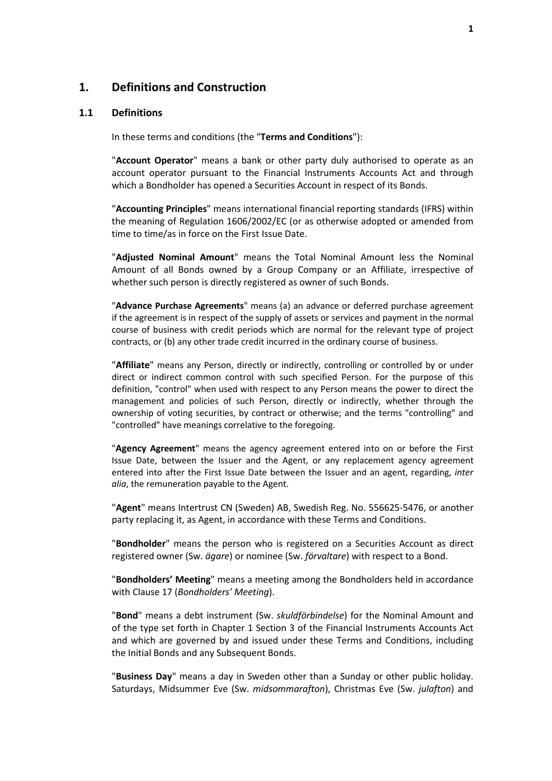## **1. Definitions and Construction**

#### **1.1 Definitions**

In these terms and conditions (the "**Terms and Conditions**"):

"**Account Operator**" means a bank or other party duly authorised to operate as an account operator pursuant to the Financial Instruments Accounts Act and through which a Bondholder has opened a Securities Account in respect of its Bonds.

"**Accounting Principles**" means international financial reporting standards (IFRS) within the meaning of Regulation 1606/2002/EC (or as otherwise adopted or amended from time to time/as in force on the First Issue Date.

"**Adjusted Nominal Amount**" means the Total Nominal Amount less the Nominal Amount of all Bonds owned by a Group Company or an Affiliate, irrespective of whether such person is directly registered as owner of such Bonds.

"**Advance Purchase Agreements**" means (a) an advance or deferred purchase agreement if the agreement is in respect of the supply of assets or services and payment in the normal course of business with credit periods which are normal for the relevant type of project contracts, or (b) any other trade credit incurred in the ordinary course of business.

"**Affiliate**" means any Person, directly or indirectly, controlling or controlled by or under direct or indirect common control with such specified Person. For the purpose of this definition, "control" when used with respect to any Person means the power to direct the management and policies of such Person, directly or indirectly, whether through the ownership of voting securities, by contract or otherwise; and the terms "controlling" and "controlled" have meanings correlative to the foregoing.

"**Agency Agreement**" means the agency agreement entered into on or before the First Issue Date, between the Issuer and the Agent, or any replacement agency agreement entered into after the First Issue Date between the Issuer and an agent, regarding, *inter alia*, the remuneration payable to the Agent.

"**Agent**" means Intertrust CN (Sweden) AB, Swedish Reg. No. 556625-5476, or another party replacing it, as Agent, in accordance with these Terms and Conditions.

"**Bondholder**" means the person who is registered on a Securities Account as direct registered owner (Sw. *ägare*) or nominee (Sw. *förvaltare*) with respect to a Bond.

"**Bondholders' Meeting**" means a meeting among the Bondholders held in accordance with Clause 17 (*Bondholders' Meeting*).

"**Bond**" means a debt instrument (Sw. *skuldförbindelse*) for the Nominal Amount and of the type set forth in Chapter 1 Section 3 of the Financial Instruments Accounts Act and which are governed by and issued under these Terms and Conditions, including the Initial Bonds and any Subsequent Bonds.

"**Business Day**" means a day in Sweden other than a Sunday or other public holiday. Saturdays, Midsummer Eve (Sw. *midsommarafton*), Christmas Eve (Sw. *julafton*) and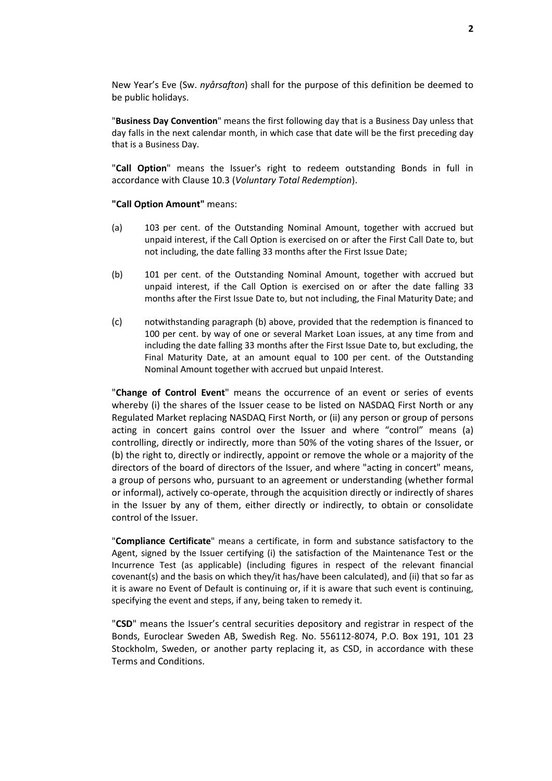New Year's Eve (Sw. *nyårsafton*) shall for the purpose of this definition be deemed to be public holidays.

"**Business Day Convention**" means the first following day that is a Business Day unless that day falls in the next calendar month, in which case that date will be the first preceding day that is a Business Day.

"**Call Option**" means the Issuer's right to redeem outstanding Bonds in full in accordance with Clause 10.3 (*Voluntary Total Redemption*).

#### **"Call Option Amount"** means:

- (a) 103 per cent. of the Outstanding Nominal Amount, together with accrued but unpaid interest, if the Call Option is exercised on or after the First Call Date to, but not including, the date falling 33 months after the First Issue Date;
- (b) 101 per cent. of the Outstanding Nominal Amount, together with accrued but unpaid interest, if the Call Option is exercised on or after the date falling 33 months after the First Issue Date to, but not including, the Final Maturity Date; and
- (c) notwithstanding paragraph (b) above, provided that the redemption is financed to 100 per cent. by way of one or several Market Loan issues, at any time from and including the date falling 33 months after the First Issue Date to, but excluding, the Final Maturity Date, at an amount equal to 100 per cent. of the Outstanding Nominal Amount together with accrued but unpaid Interest.

"**Change of Control Event**" means the occurrence of an event or series of events whereby (i) the shares of the Issuer cease to be listed on NASDAQ First North or any Regulated Market replacing NASDAQ First North, or (ii) any person or group of persons acting in concert gains control over the Issuer and where "control" means (a) controlling, directly or indirectly, more than 50% of the voting shares of the Issuer, or (b) the right to, directly or indirectly, appoint or remove the whole or a majority of the directors of the board of directors of the Issuer, and where "acting in concert" means, a group of persons who, pursuant to an agreement or understanding (whether formal or informal), actively co-operate, through the acquisition directly or indirectly of shares in the Issuer by any of them, either directly or indirectly, to obtain or consolidate control of the Issuer.

"**Compliance Certificate**" means a certificate, in form and substance satisfactory to the Agent, signed by the Issuer certifying (i) the satisfaction of the Maintenance Test or the Incurrence Test (as applicable) (including figures in respect of the relevant financial covenant(s) and the basis on which they/it has/have been calculated), and (ii) that so far as it is aware no Event of Default is continuing or, if it is aware that such event is continuing, specifying the event and steps, if any, being taken to remedy it.

"**CSD**" means the Issuer's central securities depository and registrar in respect of the Bonds, Euroclear Sweden AB, Swedish Reg. No. 556112-8074, P.O. Box 191, 101 23 Stockholm, Sweden, or another party replacing it, as CSD, in accordance with these Terms and Conditions.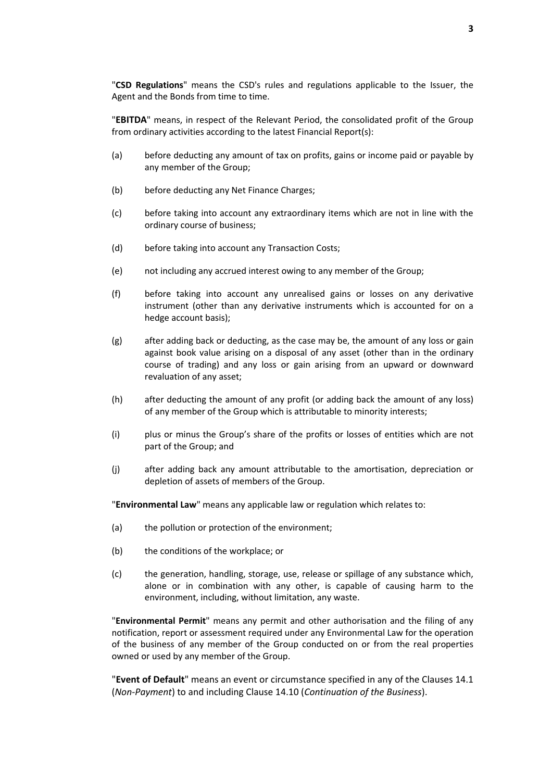"**CSD Regulations**" means the CSD's rules and regulations applicable to the Issuer, the Agent and the Bonds from time to time.

"**EBITDA**" means, in respect of the Relevant Period, the consolidated profit of the Group from ordinary activities according to the latest Financial Report(s):

- (a) before deducting any amount of tax on profits, gains or income paid or payable by any member of the Group;
- (b) before deducting any Net Finance Charges;
- (c) before taking into account any extraordinary items which are not in line with the ordinary course of business;
- (d) before taking into account any Transaction Costs;
- (e) not including any accrued interest owing to any member of the Group;
- (f) before taking into account any unrealised gains or losses on any derivative instrument (other than any derivative instruments which is accounted for on a hedge account basis);
- (g) after adding back or deducting, as the case may be, the amount of any loss or gain against book value arising on a disposal of any asset (other than in the ordinary course of trading) and any loss or gain arising from an upward or downward revaluation of any asset;
- (h) after deducting the amount of any profit (or adding back the amount of any loss) of any member of the Group which is attributable to minority interests;
- (i) plus or minus the Group's share of the profits or losses of entities which are not part of the Group; and
- (j) after adding back any amount attributable to the amortisation, depreciation or depletion of assets of members of the Group.

"**Environmental Law**" means any applicable law or regulation which relates to:

- (a) the pollution or protection of the environment;
- (b) the conditions of the workplace; or
- (c) the generation, handling, storage, use, release or spillage of any substance which, alone or in combination with any other, is capable of causing harm to the environment, including, without limitation, any waste.

"**Environmental Permit**" means any permit and other authorisation and the filing of any notification, report or assessment required under any Environmental Law for the operation of the business of any member of the Group conducted on or from the real properties owned or used by any member of the Group.

"**Event of Default**" means an event or circumstance specified in any of the Clauses 14.1 (*Non-Payment*) to and including Clause 14.10 (*Continuation of the Business*).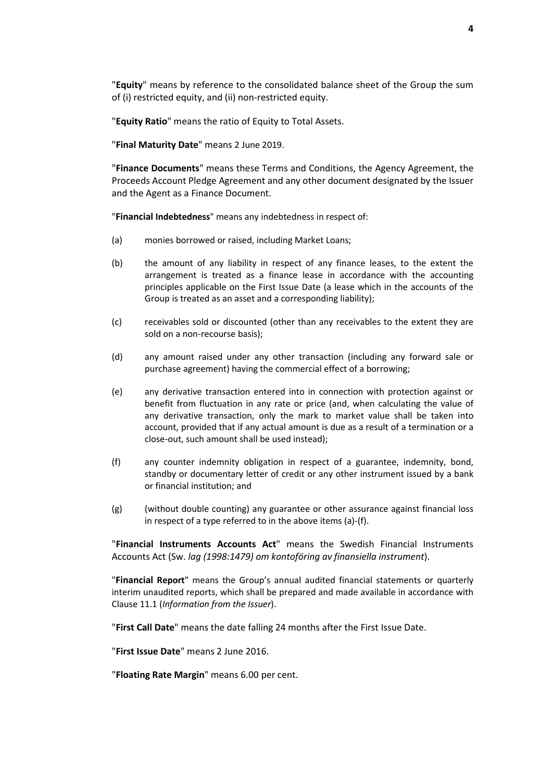"**Equity**" means by reference to the consolidated balance sheet of the Group the sum of (i) restricted equity, and (ii) non-restricted equity.

"**Equity Ratio**" means the ratio of Equity to Total Assets.

"**Final Maturity Date**" means 2 June 2019.

"**Finance Documents**" means these Terms and Conditions, the Agency Agreement, the Proceeds Account Pledge Agreement and any other document designated by the Issuer and the Agent as a Finance Document.

"**Financial Indebtedness**" means any indebtedness in respect of:

- (a) monies borrowed or raised, including Market Loans;
- (b) the amount of any liability in respect of any finance leases, to the extent the arrangement is treated as a finance lease in accordance with the accounting principles applicable on the First Issue Date (a lease which in the accounts of the Group is treated as an asset and a corresponding liability);
- (c) receivables sold or discounted (other than any receivables to the extent they are sold on a non-recourse basis);
- (d) any amount raised under any other transaction (including any forward sale or purchase agreement) having the commercial effect of a borrowing;
- (e) any derivative transaction entered into in connection with protection against or benefit from fluctuation in any rate or price (and, when calculating the value of any derivative transaction, only the mark to market value shall be taken into account, provided that if any actual amount is due as a result of a termination or a close-out, such amount shall be used instead);
- (f) any counter indemnity obligation in respect of a guarantee, indemnity, bond, standby or documentary letter of credit or any other instrument issued by a bank or financial institution; and
- (g) (without double counting) any guarantee or other assurance against financial loss in respect of a type referred to in the above items (a)-(f).

"**Financial Instruments Accounts Act**" means the Swedish Financial Instruments Accounts Act (Sw. *lag (1998:1479) om kontoföring av finansiella instrument*).

"**Financial Report**" means the Group's annual audited financial statements or quarterly interim unaudited reports, which shall be prepared and made available in accordance with Clause 11.1 (*Information from the Issuer*).

"**First Call Date**" means the date falling 24 months after the First Issue Date.

"**First Issue Date**" means 2 June 2016.

"**Floating Rate Margin**" means 6.00 per cent.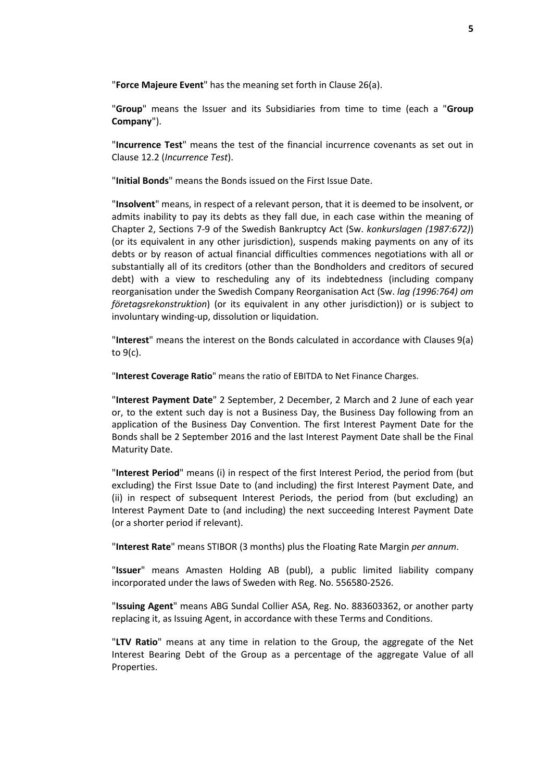"**Force Majeure Event**" has the meaning set forth in Clause 26(a).

"**Group**" means the Issuer and its Subsidiaries from time to time (each a "**Group Company**").

"**Incurrence Test**" means the test of the financial incurrence covenants as set out in Clause 12.2 (*Incurrence Test*).

"**Initial Bonds**" means the Bonds issued on the First Issue Date.

"**Insolvent**" means, in respect of a relevant person, that it is deemed to be insolvent, or admits inability to pay its debts as they fall due, in each case within the meaning of Chapter 2, Sections 7-9 of the Swedish Bankruptcy Act (Sw. *konkurslagen (1987:672)*) (or its equivalent in any other jurisdiction), suspends making payments on any of its debts or by reason of actual financial difficulties commences negotiations with all or substantially all of its creditors (other than the Bondholders and creditors of secured debt) with a view to rescheduling any of its indebtedness (including company reorganisation under the Swedish Company Reorganisation Act (Sw. *lag (1996:764) om företagsrekonstruktion*) (or its equivalent in any other jurisdiction)) or is subject to involuntary winding-up, dissolution or liquidation.

"**Interest**" means the interest on the Bonds calculated in accordance with Clauses 9(a) to 9(c).

"**Interest Coverage Ratio**" means the ratio of EBITDA to Net Finance Charges.

"**Interest Payment Date**" 2 September, 2 December, 2 March and 2 June of each year or, to the extent such day is not a Business Day, the Business Day following from an application of the Business Day Convention. The first Interest Payment Date for the Bonds shall be 2 September 2016 and the last Interest Payment Date shall be the Final Maturity Date.

"**Interest Period**" means (i) in respect of the first Interest Period, the period from (but excluding) the First Issue Date to (and including) the first Interest Payment Date, and (ii) in respect of subsequent Interest Periods, the period from (but excluding) an Interest Payment Date to (and including) the next succeeding Interest Payment Date (or a shorter period if relevant).

"**Interest Rate**" means STIBOR (3 months) plus the Floating Rate Margin *per annum*.

"**Issuer**" means Amasten Holding AB (publ), a public limited liability company incorporated under the laws of Sweden with Reg. No. 556580-2526.

"**Issuing Agent**" means ABG Sundal Collier ASA, Reg. No. 883603362, or another party replacing it, as Issuing Agent, in accordance with these Terms and Conditions.

"**LTV Ratio**" means at any time in relation to the Group, the aggregate of the Net Interest Bearing Debt of the Group as a percentage of the aggregate Value of all Properties.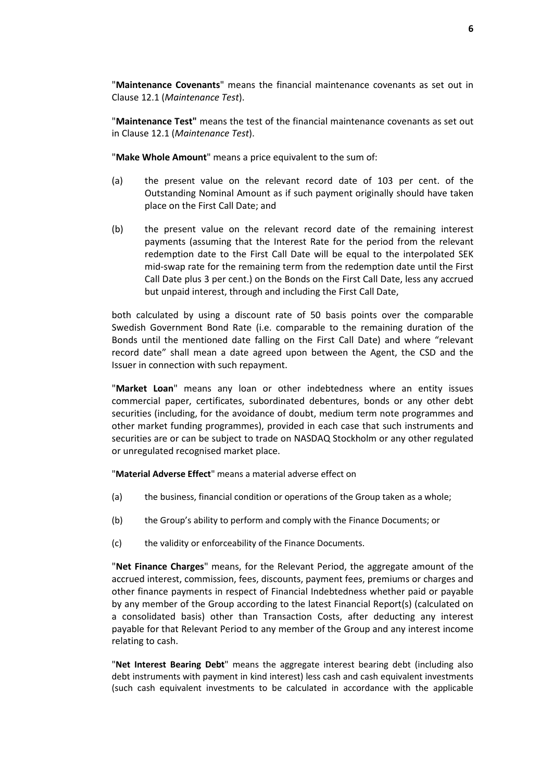"**Maintenance Covenants**" means the financial maintenance covenants as set out in Clause 12.1 (*Maintenance Test*).

"**Maintenance Test"** means the test of the financial maintenance covenants as set out in Clause 12.1 (*Maintenance Test*).

"**Make Whole Amount**" means a price equivalent to the sum of:

- (a) the present value on the relevant record date of 103 per cent. of the Outstanding Nominal Amount as if such payment originally should have taken place on the First Call Date; and
- (b) the present value on the relevant record date of the remaining interest payments (assuming that the Interest Rate for the period from the relevant redemption date to the First Call Date will be equal to the interpolated SEK mid-swap rate for the remaining term from the redemption date until the First Call Date plus 3 per cent.) on the Bonds on the First Call Date, less any accrued but unpaid interest, through and including the First Call Date,

both calculated by using a discount rate of 50 basis points over the comparable Swedish Government Bond Rate (i.e. comparable to the remaining duration of the Bonds until the mentioned date falling on the First Call Date) and where "relevant record date" shall mean a date agreed upon between the Agent, the CSD and the Issuer in connection with such repayment.

"**Market Loan**" means any loan or other indebtedness where an entity issues commercial paper, certificates, subordinated debentures, bonds or any other debt securities (including, for the avoidance of doubt, medium term note programmes and other market funding programmes), provided in each case that such instruments and securities are or can be subject to trade on NASDAQ Stockholm or any other regulated or unregulated recognised market place.

"**Material Adverse Effect**" means a material adverse effect on

- (a) the business, financial condition or operations of the Group taken as a whole;
- (b) the Group's ability to perform and comply with the Finance Documents; or
- (c) the validity or enforceability of the Finance Documents.

"**Net Finance Charges**" means, for the Relevant Period, the aggregate amount of the accrued interest, commission, fees, discounts, payment fees, premiums or charges and other finance payments in respect of Financial Indebtedness whether paid or payable by any member of the Group according to the latest Financial Report(s) (calculated on a consolidated basis) other than Transaction Costs, after deducting any interest payable for that Relevant Period to any member of the Group and any interest income relating to cash.

"**Net Interest Bearing Debt**" means the aggregate interest bearing debt (including also debt instruments with payment in kind interest) less cash and cash equivalent investments (such cash equivalent investments to be calculated in accordance with the applicable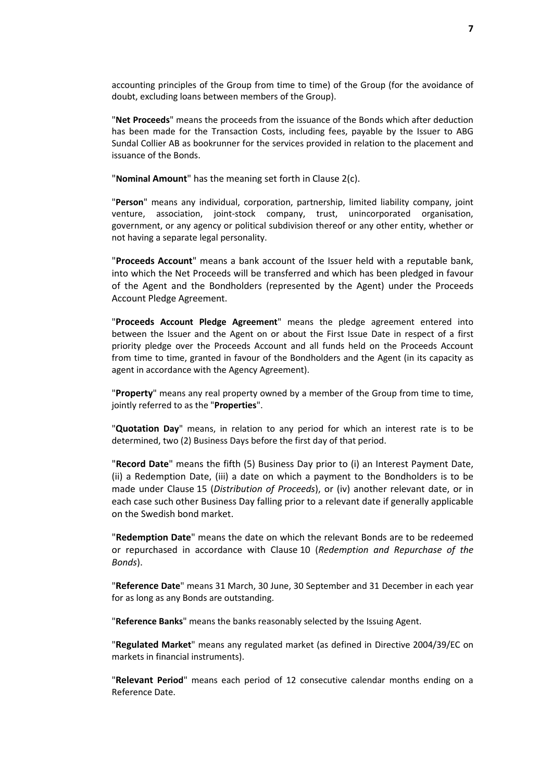accounting principles of the Group from time to time) of the Group (for the avoidance of doubt, excluding loans between members of the Group).

"**Net Proceeds**" means the proceeds from the issuance of the Bonds which after deduction has been made for the Transaction Costs, including fees, payable by the Issuer to ABG Sundal Collier AB as bookrunner for the services provided in relation to the placement and issuance of the Bonds.

"**Nominal Amount**" has the meaning set forth in Clause 2(c).

"**Person**" means any individual, corporation, partnership, limited liability company, joint venture, association, joint-stock company, trust, unincorporated organisation, government, or any agency or political subdivision thereof or any other entity, whether or not having a separate legal personality.

"**Proceeds Account**" means a bank account of the Issuer held with a reputable bank, into which the Net Proceeds will be transferred and which has been pledged in favour of the Agent and the Bondholders (represented by the Agent) under the Proceeds Account Pledge Agreement.

"**Proceeds Account Pledge Agreement**" means the pledge agreement entered into between the Issuer and the Agent on or about the First Issue Date in respect of a first priority pledge over the Proceeds Account and all funds held on the Proceeds Account from time to time, granted in favour of the Bondholders and the Agent (in its capacity as agent in accordance with the Agency Agreement).

"**Property**" means any real property owned by a member of the Group from time to time, jointly referred to as the "**Properties**".

"**Quotation Day**" means, in relation to any period for which an interest rate is to be determined, two (2) Business Days before the first day of that period.

"**Record Date**" means the fifth (5) Business Day prior to (i) an Interest Payment Date, (ii) a Redemption Date, (iii) a date on which a payment to the Bondholders is to be made under Clause 15 (*Distribution of Proceeds*), or (iv) another relevant date, or in each case such other Business Day falling prior to a relevant date if generally applicable on the Swedish bond market.

"**Redemption Date**" means the date on which the relevant Bonds are to be redeemed or repurchased in accordance with Clause 10 (*Redemption and Repurchase of the Bonds*).

"**Reference Date**" means 31 March, 30 June, 30 September and 31 December in each year for as long as any Bonds are outstanding.

"**Reference Banks**" means the banks reasonably selected by the Issuing Agent.

"**Regulated Market**" means any regulated market (as defined in Directive 2004/39/EC on markets in financial instruments).

"**Relevant Period**" means each period of 12 consecutive calendar months ending on a Reference Date.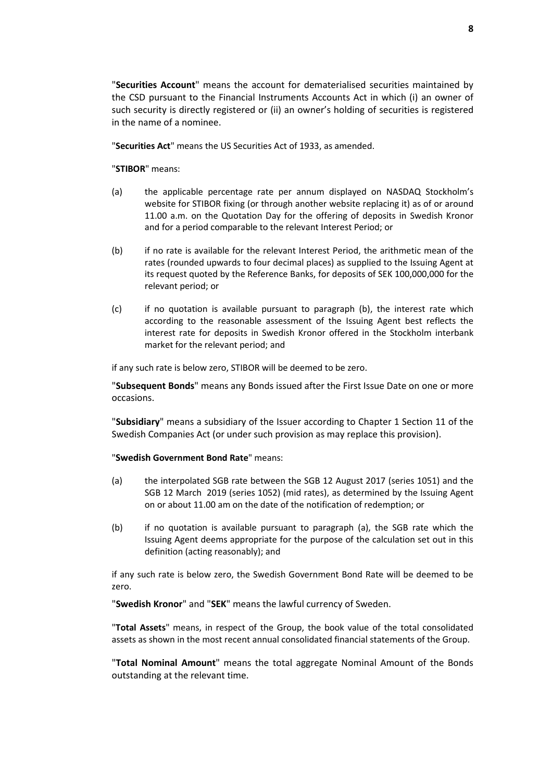"**Securities Account**" means the account for dematerialised securities maintained by the CSD pursuant to the Financial Instruments Accounts Act in which (i) an owner of such security is directly registered or (ii) an owner's holding of securities is registered in the name of a nominee.

"**Securities Act**" means the US Securities Act of 1933, as amended.

"**STIBOR**" means:

- (a) the applicable percentage rate per annum displayed on NASDAQ Stockholm's website for STIBOR fixing (or through another website replacing it) as of or around 11.00 a.m. on the Quotation Day for the offering of deposits in Swedish Kronor and for a period comparable to the relevant Interest Period; or
- (b) if no rate is available for the relevant Interest Period, the arithmetic mean of the rates (rounded upwards to four decimal places) as supplied to the Issuing Agent at its request quoted by the Reference Banks, for deposits of SEK 100,000,000 for the relevant period; or
- (c) if no quotation is available pursuant to paragraph (b), the interest rate which according to the reasonable assessment of the Issuing Agent best reflects the interest rate for deposits in Swedish Kronor offered in the Stockholm interbank market for the relevant period; and

if any such rate is below zero, STIBOR will be deemed to be zero.

"**Subsequent Bonds**" means any Bonds issued after the First Issue Date on one or more occasions.

"**Subsidiary**" means a subsidiary of the Issuer according to Chapter 1 Section 11 of the Swedish Companies Act (or under such provision as may replace this provision).

"**Swedish Government Bond Rate**" means:

- (a) the interpolated SGB rate between the SGB 12 August 2017 (series 1051) and the SGB 12 March 2019 (series 1052) (mid rates), as determined by the Issuing Agent on or about 11.00 am on the date of the notification of redemption; or
- (b) if no quotation is available pursuant to paragraph (a), the SGB rate which the Issuing Agent deems appropriate for the purpose of the calculation set out in this definition (acting reasonably); and

if any such rate is below zero, the Swedish Government Bond Rate will be deemed to be zero.

"**Swedish Kronor**" and "**SEK**" means the lawful currency of Sweden.

"**Total Assets**" means, in respect of the Group, the book value of the total consolidated assets as shown in the most recent annual consolidated financial statements of the Group.

"**Total Nominal Amount**" means the total aggregate Nominal Amount of the Bonds outstanding at the relevant time.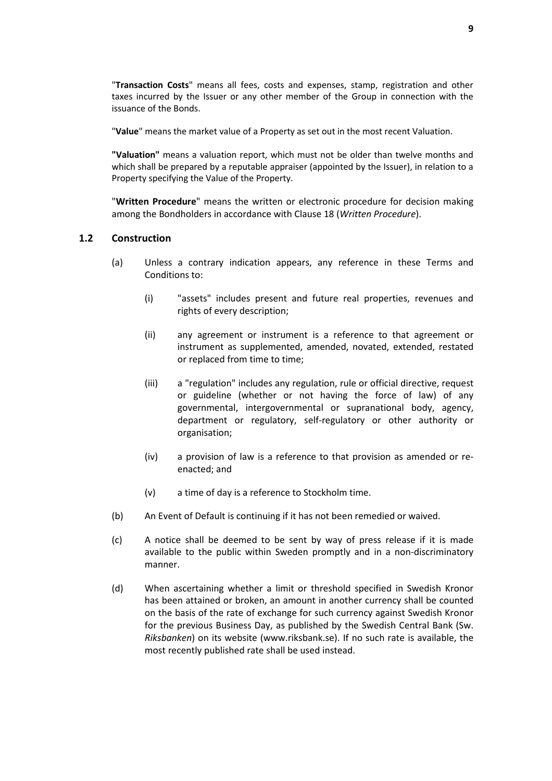"**Transaction Costs**" means all fees, costs and expenses, stamp, registration and other taxes incurred by the Issuer or any other member of the Group in connection with the issuance of the Bonds.

"**Value**" means the market value of a Property as set out in the most recent Valuation.

**"Valuation"** means a valuation report, which must not be older than twelve months and which shall be prepared by a reputable appraiser (appointed by the Issuer), in relation to a Property specifying the Value of the Property.

"**Written Procedure**" means the written or electronic procedure for decision making among the Bondholders in accordance with Clause 18 (*Written Procedure*).

### **1.2 Construction**

- (a) Unless a contrary indication appears, any reference in these Terms and Conditions to:
	- (i) "assets" includes present and future real properties, revenues and rights of every description;
	- (ii) any agreement or instrument is a reference to that agreement or instrument as supplemented, amended, novated, extended, restated or replaced from time to time;
	- (iii) a "regulation" includes any regulation, rule or official directive, request or guideline (whether or not having the force of law) of any governmental, intergovernmental or supranational body, agency, department or regulatory, self-regulatory or other authority or organisation;
	- (iv) a provision of law is a reference to that provision as amended or reenacted; and
	- (v) a time of day is a reference to Stockholm time.
- (b) An Event of Default is continuing if it has not been remedied or waived.
- (c) A notice shall be deemed to be sent by way of press release if it is made available to the public within Sweden promptly and in a non-discriminatory manner.
- (d) When ascertaining whether a limit or threshold specified in Swedish Kronor has been attained or broken, an amount in another currency shall be counted on the basis of the rate of exchange for such currency against Swedish Kronor for the previous Business Day, as published by the Swedish Central Bank (Sw. *Riksbanken*) on its website (www.riksbank.se). If no such rate is available, the most recently published rate shall be used instead.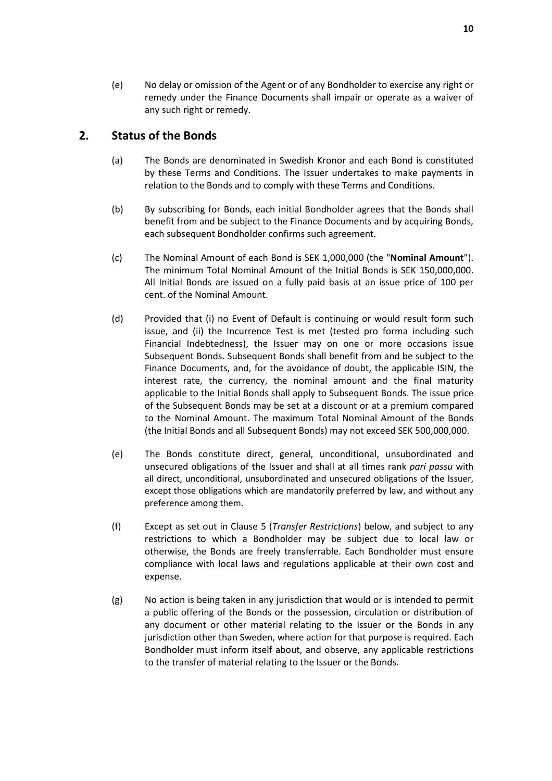(e) No delay or omission of the Agent or of any Bondholder to exercise any right or remedy under the Finance Documents shall impair or operate as a waiver of any such right or remedy.

## **2. Status of the Bonds**

- (a) The Bonds are denominated in Swedish Kronor and each Bond is constituted by these Terms and Conditions. The Issuer undertakes to make payments in relation to the Bonds and to comply with these Terms and Conditions.
- (b) By subscribing for Bonds, each initial Bondholder agrees that the Bonds shall benefit from and be subject to the Finance Documents and by acquiring Bonds, each subsequent Bondholder confirms such agreement.
- (c) The Nominal Amount of each Bond is SEK 1,000,000 (the "**Nominal Amount**"). The minimum Total Nominal Amount of the Initial Bonds is SEK 150,000,000. All Initial Bonds are issued on a fully paid basis at an issue price of 100 per cent. of the Nominal Amount.
- (d) Provided that (i) no Event of Default is continuing or would result form such issue, and (ii) the Incurrence Test is met (tested pro forma including such Financial Indebtedness), the Issuer may on one or more occasions issue Subsequent Bonds. Subsequent Bonds shall benefit from and be subject to the Finance Documents, and, for the avoidance of doubt, the applicable ISIN, the interest rate, the currency, the nominal amount and the final maturity applicable to the Initial Bonds shall apply to Subsequent Bonds. The issue price of the Subsequent Bonds may be set at a discount or at a premium compared to the Nominal Amount. The maximum Total Nominal Amount of the Bonds (the Initial Bonds and all Subsequent Bonds) may not exceed SEK 500,000,000.
- (e) The Bonds constitute direct, general, unconditional, unsubordinated and unsecured obligations of the Issuer and shall at all times rank *pari passu* with all direct, unconditional, unsubordinated and unsecured obligations of the Issuer, except those obligations which are mandatorily preferred by law, and without any preference among them.
- (f) Except as set out in Clause 5 (*Transfer Restrictions*) below, and subject to any restrictions to which a Bondholder may be subject due to local law or otherwise, the Bonds are freely transferrable. Each Bondholder must ensure compliance with local laws and regulations applicable at their own cost and expense.
- (g) No action is being taken in any jurisdiction that would or is intended to permit a public offering of the Bonds or the possession, circulation or distribution of any document or other material relating to the Issuer or the Bonds in any jurisdiction other than Sweden, where action for that purpose is required. Each Bondholder must inform itself about, and observe, any applicable restrictions to the transfer of material relating to the Issuer or the Bonds.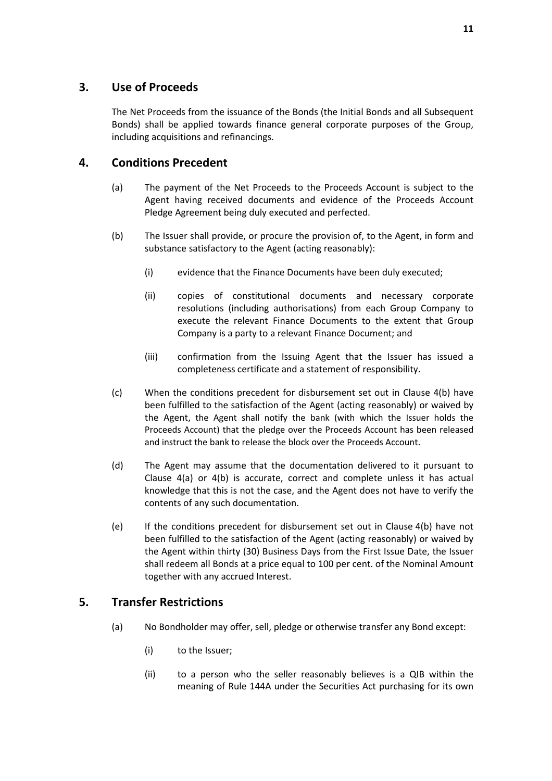## **3. Use of Proceeds**

The Net Proceeds from the issuance of the Bonds (the Initial Bonds and all Subsequent Bonds) shall be applied towards finance general corporate purposes of the Group, including acquisitions and refinancings.

## **4. Conditions Precedent**

- (a) The payment of the Net Proceeds to the Proceeds Account is subject to the Agent having received documents and evidence of the Proceeds Account Pledge Agreement being duly executed and perfected.
- (b) The Issuer shall provide, or procure the provision of, to the Agent, in form and substance satisfactory to the Agent (acting reasonably):
	- (i) evidence that the Finance Documents have been duly executed;
	- (ii) copies of constitutional documents and necessary corporate resolutions (including authorisations) from each Group Company to execute the relevant Finance Documents to the extent that Group Company is a party to a relevant Finance Document; and
	- (iii) confirmation from the Issuing Agent that the Issuer has issued a completeness certificate and a statement of responsibility.
- (c) When the conditions precedent for disbursement set out in Clause 4(b) have been fulfilled to the satisfaction of the Agent (acting reasonably) or waived by the Agent, the Agent shall notify the bank (with which the Issuer holds the Proceeds Account) that the pledge over the Proceeds Account has been released and instruct the bank to release the block over the Proceeds Account.
- (d) The Agent may assume that the documentation delivered to it pursuant to Clause  $4(a)$  or  $4(b)$  is accurate, correct and complete unless it has actual knowledge that this is not the case, and the Agent does not have to verify the contents of any such documentation.
- (e) If the conditions precedent for disbursement set out in Clause 4(b) have not been fulfilled to the satisfaction of the Agent (acting reasonably) or waived by the Agent within thirty (30) Business Days from the First Issue Date, the Issuer shall redeem all Bonds at a price equal to 100 per cent. of the Nominal Amount together with any accrued Interest.

## **5. Transfer Restrictions**

- (a) No Bondholder may offer, sell, pledge or otherwise transfer any Bond except:
	- (i) to the Issuer;
	- (ii) to a person who the seller reasonably believes is a QIB within the meaning of Rule 144A under the Securities Act purchasing for its own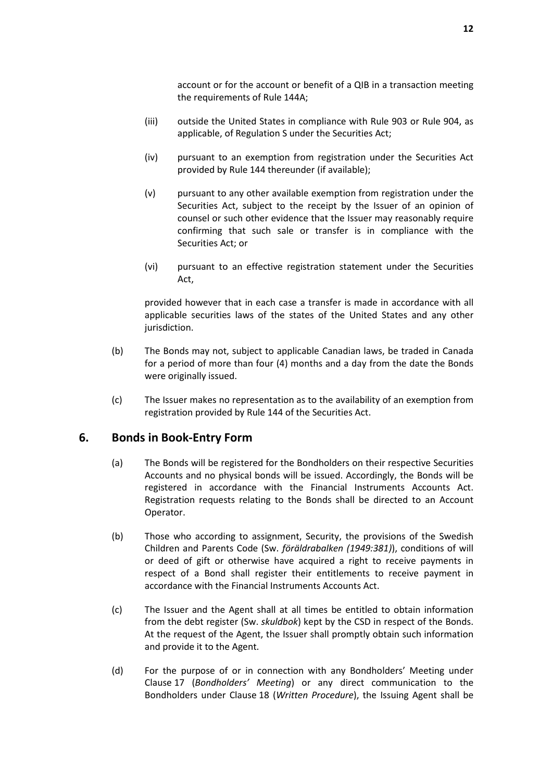account or for the account or benefit of a QIB in a transaction meeting the requirements of Rule 144A;

- (iii) outside the United States in compliance with Rule 903 or Rule 904, as applicable, of Regulation S under the Securities Act;
- (iv) pursuant to an exemption from registration under the Securities Act provided by Rule 144 thereunder (if available);
- (v) pursuant to any other available exemption from registration under the Securities Act, subject to the receipt by the Issuer of an opinion of counsel or such other evidence that the Issuer may reasonably require confirming that such sale or transfer is in compliance with the Securities Act; or
- (vi) pursuant to an effective registration statement under the Securities Act,

provided however that in each case a transfer is made in accordance with all applicable securities laws of the states of the United States and any other jurisdiction.

- (b) The Bonds may not, subject to applicable Canadian laws, be traded in Canada for a period of more than four (4) months and a day from the date the Bonds were originally issued.
- (c) The Issuer makes no representation as to the availability of an exemption from registration provided by Rule 144 of the Securities Act.

## **6. Bonds in Book-Entry Form**

- (a) The Bonds will be registered for the Bondholders on their respective Securities Accounts and no physical bonds will be issued. Accordingly, the Bonds will be registered in accordance with the Financial Instruments Accounts Act. Registration requests relating to the Bonds shall be directed to an Account Operator.
- (b) Those who according to assignment, Security, the provisions of the Swedish Children and Parents Code (Sw. *föräldrabalken (1949:381)*), conditions of will or deed of gift or otherwise have acquired a right to receive payments in respect of a Bond shall register their entitlements to receive payment in accordance with the Financial Instruments Accounts Act.
- (c) The Issuer and the Agent shall at all times be entitled to obtain information from the debt register (Sw. *skuldbok*) kept by the CSD in respect of the Bonds. At the request of the Agent, the Issuer shall promptly obtain such information and provide it to the Agent.
- (d) For the purpose of or in connection with any Bondholders' Meeting under Clause 17 (*Bondholders' Meeting*) or any direct communication to the Bondholders under Clause 18 (*Written Procedure*), the Issuing Agent shall be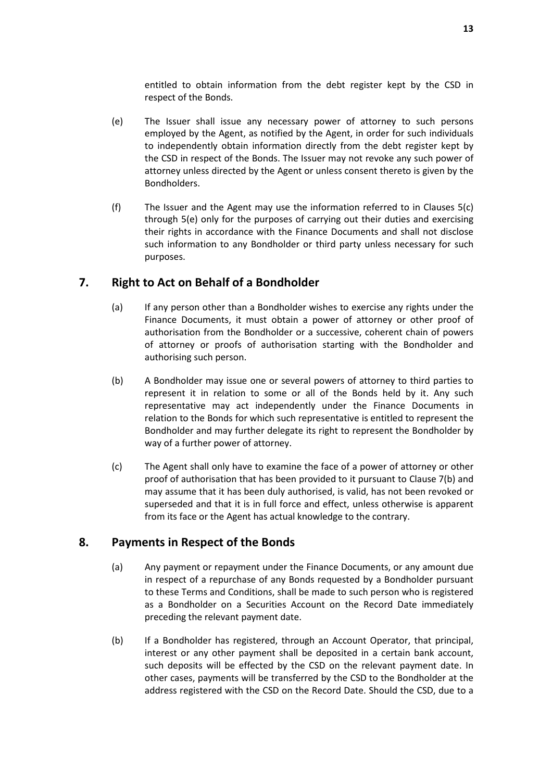entitled to obtain information from the debt register kept by the CSD in respect of the Bonds.

- (e) The Issuer shall issue any necessary power of attorney to such persons employed by the Agent, as notified by the Agent, in order for such individuals to independently obtain information directly from the debt register kept by the CSD in respect of the Bonds. The Issuer may not revoke any such power of attorney unless directed by the Agent or unless consent thereto is given by the Bondholders.
- (f) The Issuer and the Agent may use the information referred to in Clauses 5(c) through 5(e) only for the purposes of carrying out their duties and exercising their rights in accordance with the Finance Documents and shall not disclose such information to any Bondholder or third party unless necessary for such purposes.

## **7. Right to Act on Behalf of a Bondholder**

- (a) If any person other than a Bondholder wishes to exercise any rights under the Finance Documents, it must obtain a power of attorney or other proof of authorisation from the Bondholder or a successive, coherent chain of powers of attorney or proofs of authorisation starting with the Bondholder and authorising such person.
- (b) A Bondholder may issue one or several powers of attorney to third parties to represent it in relation to some or all of the Bonds held by it. Any such representative may act independently under the Finance Documents in relation to the Bonds for which such representative is entitled to represent the Bondholder and may further delegate its right to represent the Bondholder by way of a further power of attorney.
- (c) The Agent shall only have to examine the face of a power of attorney or other proof of authorisation that has been provided to it pursuant to Clause 7(b) and may assume that it has been duly authorised, is valid, has not been revoked or superseded and that it is in full force and effect, unless otherwise is apparent from its face or the Agent has actual knowledge to the contrary.

## **8. Payments in Respect of the Bonds**

- (a) Any payment or repayment under the Finance Documents, or any amount due in respect of a repurchase of any Bonds requested by a Bondholder pursuant to these Terms and Conditions, shall be made to such person who is registered as a Bondholder on a Securities Account on the Record Date immediately preceding the relevant payment date.
- (b) If a Bondholder has registered, through an Account Operator, that principal, interest or any other payment shall be deposited in a certain bank account, such deposits will be effected by the CSD on the relevant payment date. In other cases, payments will be transferred by the CSD to the Bondholder at the address registered with the CSD on the Record Date. Should the CSD, due to a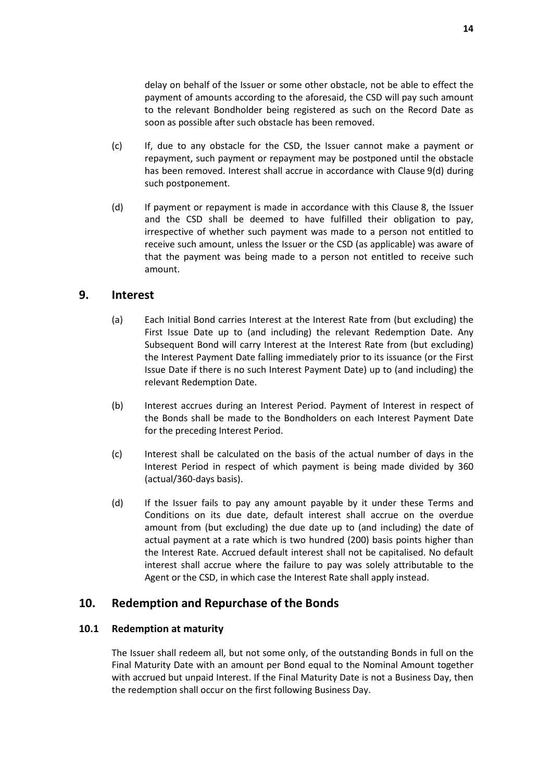delay on behalf of the Issuer or some other obstacle, not be able to effect the payment of amounts according to the aforesaid, the CSD will pay such amount to the relevant Bondholder being registered as such on the Record Date as soon as possible after such obstacle has been removed.

- (c) If, due to any obstacle for the CSD, the Issuer cannot make a payment or repayment, such payment or repayment may be postponed until the obstacle has been removed. Interest shall accrue in accordance with Clause 9(d) during such postponement.
- (d) If payment or repayment is made in accordance with this Clause 8, the Issuer and the CSD shall be deemed to have fulfilled their obligation to pay, irrespective of whether such payment was made to a person not entitled to receive such amount, unless the Issuer or the CSD (as applicable) was aware of that the payment was being made to a person not entitled to receive such amount.

## **9. Interest**

- (a) Each Initial Bond carries Interest at the Interest Rate from (but excluding) the First Issue Date up to (and including) the relevant Redemption Date. Any Subsequent Bond will carry Interest at the Interest Rate from (but excluding) the Interest Payment Date falling immediately prior to its issuance (or the First Issue Date if there is no such Interest Payment Date) up to (and including) the relevant Redemption Date.
- (b) Interest accrues during an Interest Period. Payment of Interest in respect of the Bonds shall be made to the Bondholders on each Interest Payment Date for the preceding Interest Period.
- (c) Interest shall be calculated on the basis of the actual number of days in the Interest Period in respect of which payment is being made divided by 360 (actual/360-days basis).
- (d) If the Issuer fails to pay any amount payable by it under these Terms and Conditions on its due date, default interest shall accrue on the overdue amount from (but excluding) the due date up to (and including) the date of actual payment at a rate which is two hundred (200) basis points higher than the Interest Rate. Accrued default interest shall not be capitalised. No default interest shall accrue where the failure to pay was solely attributable to the Agent or the CSD, in which case the Interest Rate shall apply instead.

## **10. Redemption and Repurchase of the Bonds**

#### **10.1 Redemption at maturity**

The Issuer shall redeem all, but not some only, of the outstanding Bonds in full on the Final Maturity Date with an amount per Bond equal to the Nominal Amount together with accrued but unpaid Interest. If the Final Maturity Date is not a Business Day, then the redemption shall occur on the first following Business Day.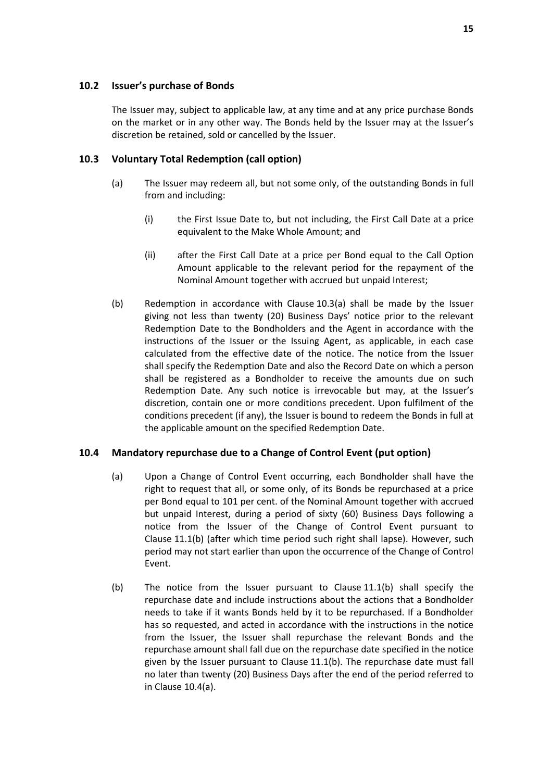### **10.2 Issuer's purchase of Bonds**

The Issuer may, subject to applicable law, at any time and at any price purchase Bonds on the market or in any other way. The Bonds held by the Issuer may at the Issuer's discretion be retained, sold or cancelled by the Issuer.

### **10.3 Voluntary Total Redemption (call option)**

- (a) The Issuer may redeem all, but not some only, of the outstanding Bonds in full from and including:
	- (i) the First Issue Date to, but not including, the First Call Date at a price equivalent to the Make Whole Amount; and
	- (ii) after the First Call Date at a price per Bond equal to the Call Option Amount applicable to the relevant period for the repayment of the Nominal Amount together with accrued but unpaid Interest;
- (b) Redemption in accordance with Clause 10.3(a) shall be made by the Issuer giving not less than twenty (20) Business Days' notice prior to the relevant Redemption Date to the Bondholders and the Agent in accordance with the instructions of the Issuer or the Issuing Agent, as applicable, in each case calculated from the effective date of the notice. The notice from the Issuer shall specify the Redemption Date and also the Record Date on which a person shall be registered as a Bondholder to receive the amounts due on such Redemption Date. Any such notice is irrevocable but may, at the Issuer's discretion, contain one or more conditions precedent. Upon fulfilment of the conditions precedent (if any), the Issuer is bound to redeem the Bonds in full at the applicable amount on the specified Redemption Date.

## **10.4 Mandatory repurchase due to a Change of Control Event (put option)**

- (a) Upon a Change of Control Event occurring, each Bondholder shall have the right to request that all, or some only, of its Bonds be repurchased at a price per Bond equal to 101 per cent. of the Nominal Amount together with accrued but unpaid Interest, during a period of sixty (60) Business Days following a notice from the Issuer of the Change of Control Event pursuant to Clause 11.1(b) (after which time period such right shall lapse). However, such period may not start earlier than upon the occurrence of the Change of Control Event.
- (b) The notice from the Issuer pursuant to Clause 11.1(b) shall specify the repurchase date and include instructions about the actions that a Bondholder needs to take if it wants Bonds held by it to be repurchased. If a Bondholder has so requested, and acted in accordance with the instructions in the notice from the Issuer, the Issuer shall repurchase the relevant Bonds and the repurchase amount shall fall due on the repurchase date specified in the notice given by the Issuer pursuant to Clause 11.1(b). The repurchase date must fall no later than twenty (20) Business Days after the end of the period referred to in Clause 10.4(a).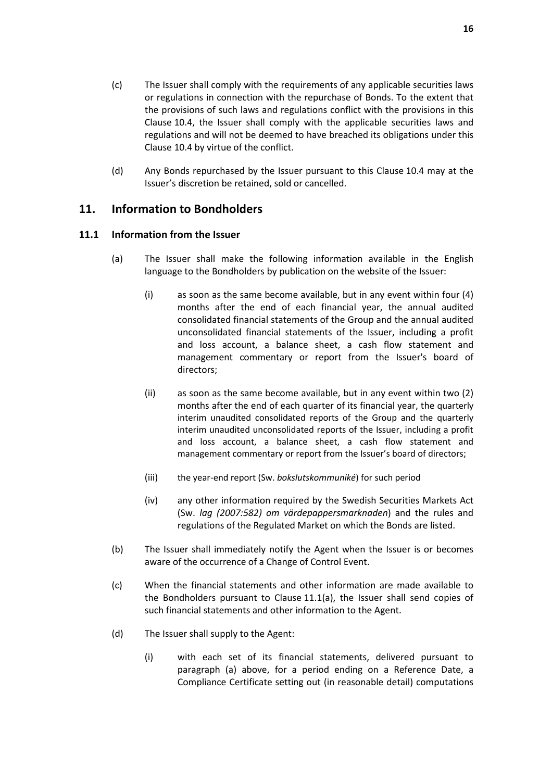- (c) The Issuer shall comply with the requirements of any applicable securities laws or regulations in connection with the repurchase of Bonds. To the extent that the provisions of such laws and regulations conflict with the provisions in this Clause 10.4, the Issuer shall comply with the applicable securities laws and regulations and will not be deemed to have breached its obligations under this Clause 10.4 by virtue of the conflict.
- (d) Any Bonds repurchased by the Issuer pursuant to this Clause 10.4 may at the Issuer's discretion be retained, sold or cancelled.

## **11. Information to Bondholders**

### **11.1 Information from the Issuer**

- (a) The Issuer shall make the following information available in the English language to the Bondholders by publication on the website of the Issuer:
	- (i) as soon as the same become available, but in any event within four (4) months after the end of each financial year, the annual audited consolidated financial statements of the Group and the annual audited unconsolidated financial statements of the Issuer, including a profit and loss account, a balance sheet, a cash flow statement and management commentary or report from the Issuer's board of directors;
	- (ii) as soon as the same become available, but in any event within two (2) months after the end of each quarter of its financial year, the quarterly interim unaudited consolidated reports of the Group and the quarterly interim unaudited unconsolidated reports of the Issuer, including a profit and loss account, a balance sheet, a cash flow statement and management commentary or report from the Issuer's board of directors;
	- (iii) the year-end report (Sw. *bokslutskommuniké*) for such period
	- (iv) any other information required by the Swedish Securities Markets Act (Sw. *lag (2007:582) om värdepappersmarknaden*) and the rules and regulations of the Regulated Market on which the Bonds are listed.
- (b) The Issuer shall immediately notify the Agent when the Issuer is or becomes aware of the occurrence of a Change of Control Event.
- (c) When the financial statements and other information are made available to the Bondholders pursuant to Clause 11.1(a), the Issuer shall send copies of such financial statements and other information to the Agent.
- (d) The Issuer shall supply to the Agent:
	- (i) with each set of its financial statements, delivered pursuant to paragraph (a) above, for a period ending on a Reference Date, a Compliance Certificate setting out (in reasonable detail) computations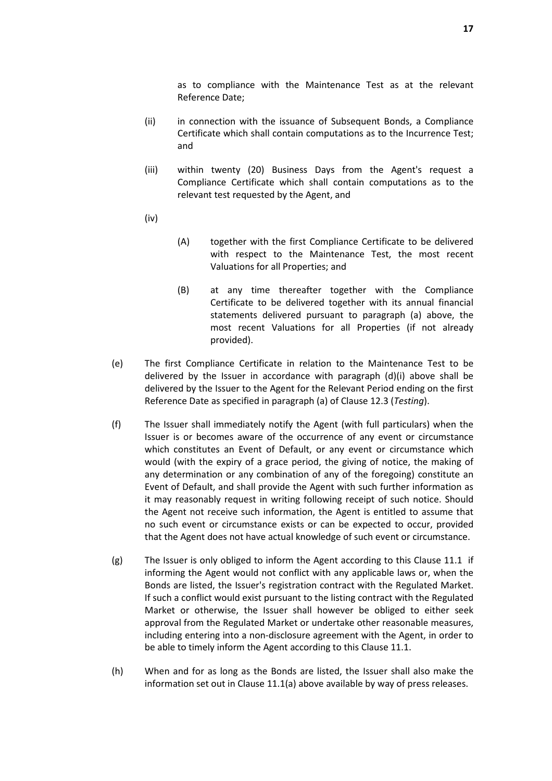as to compliance with the Maintenance Test as at the relevant Reference Date;

- (ii) in connection with the issuance of Subsequent Bonds, a Compliance Certificate which shall contain computations as to the Incurrence Test; and
- (iii) within twenty (20) Business Days from the Agent's request a Compliance Certificate which shall contain computations as to the relevant test requested by the Agent, and
- (iv)
- (A) together with the first Compliance Certificate to be delivered with respect to the Maintenance Test, the most recent Valuations for all Properties; and
- (B) at any time thereafter together with the Compliance Certificate to be delivered together with its annual financial statements delivered pursuant to paragraph (a) above, the most recent Valuations for all Properties (if not already provided).
- (e) The first Compliance Certificate in relation to the Maintenance Test to be delivered by the Issuer in accordance with paragraph (d)(i) above shall be delivered by the Issuer to the Agent for the Relevant Period ending on the first Reference Date as specified in paragraph (a) of Clause 12.3 (*Testing*).
- (f) The Issuer shall immediately notify the Agent (with full particulars) when the Issuer is or becomes aware of the occurrence of any event or circumstance which constitutes an Event of Default, or any event or circumstance which would (with the expiry of a grace period, the giving of notice, the making of any determination or any combination of any of the foregoing) constitute an Event of Default, and shall provide the Agent with such further information as it may reasonably request in writing following receipt of such notice. Should the Agent not receive such information, the Agent is entitled to assume that no such event or circumstance exists or can be expected to occur, provided that the Agent does not have actual knowledge of such event or circumstance.
- (g) The Issuer is only obliged to inform the Agent according to this Clause 11.1 if informing the Agent would not conflict with any applicable laws or, when the Bonds are listed, the Issuer's registration contract with the Regulated Market. If such a conflict would exist pursuant to the listing contract with the Regulated Market or otherwise, the Issuer shall however be obliged to either seek approval from the Regulated Market or undertake other reasonable measures, including entering into a non-disclosure agreement with the Agent, in order to be able to timely inform the Agent according to this Clause 11.1.
- (h) When and for as long as the Bonds are listed, the Issuer shall also make the information set out in Clause 11.1(a) above available by way of press releases.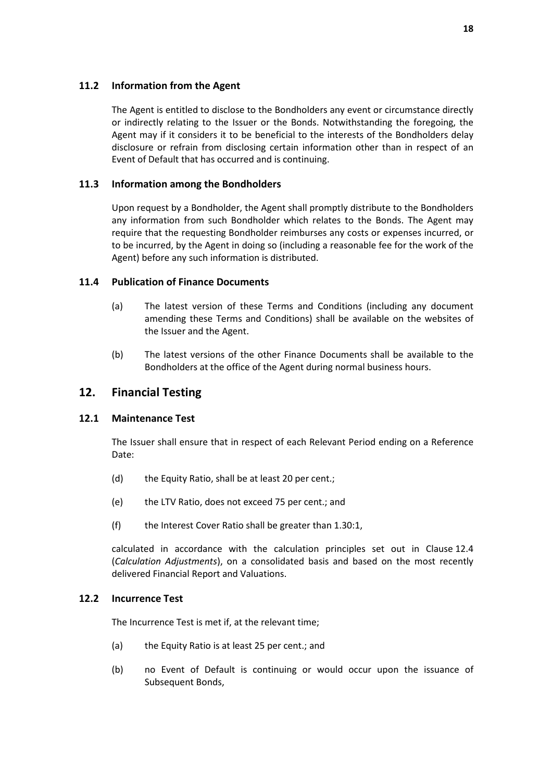## **11.2 Information from the Agent**

The Agent is entitled to disclose to the Bondholders any event or circumstance directly or indirectly relating to the Issuer or the Bonds. Notwithstanding the foregoing, the Agent may if it considers it to be beneficial to the interests of the Bondholders delay disclosure or refrain from disclosing certain information other than in respect of an Event of Default that has occurred and is continuing.

### **11.3 Information among the Bondholders**

Upon request by a Bondholder, the Agent shall promptly distribute to the Bondholders any information from such Bondholder which relates to the Bonds. The Agent may require that the requesting Bondholder reimburses any costs or expenses incurred, or to be incurred, by the Agent in doing so (including a reasonable fee for the work of the Agent) before any such information is distributed.

### **11.4 Publication of Finance Documents**

- (a) The latest version of these Terms and Conditions (including any document amending these Terms and Conditions) shall be available on the websites of the Issuer and the Agent.
- (b) The latest versions of the other Finance Documents shall be available to the Bondholders at the office of the Agent during normal business hours.

## **12. Financial Testing**

#### **12.1 Maintenance Test**

The Issuer shall ensure that in respect of each Relevant Period ending on a Reference Date:

- (d) the Equity Ratio, shall be at least 20 per cent.;
- (e) the LTV Ratio, does not exceed 75 per cent.; and
- (f) the Interest Cover Ratio shall be greater than 1.30:1,

calculated in accordance with the calculation principles set out in Clause 12.4 (*Calculation Adjustments*), on a consolidated basis and based on the most recently delivered Financial Report and Valuations.

#### **12.2 Incurrence Test**

The Incurrence Test is met if, at the relevant time;

- (a) the Equity Ratio is at least 25 per cent.; and
- (b) no Event of Default is continuing or would occur upon the issuance of Subsequent Bonds,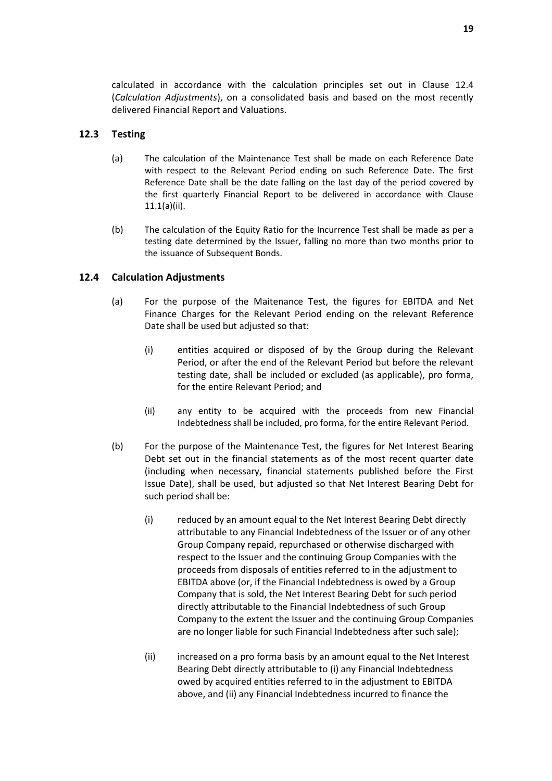calculated in accordance with the calculation principles set out in Clause 12.4 (*Calculation Adjustments*), on a consolidated basis and based on the most recently delivered Financial Report and Valuations.

### **12.3 Testing**

- (a) The calculation of the Maintenance Test shall be made on each Reference Date with respect to the Relevant Period ending on such Reference Date. The first Reference Date shall be the date falling on the last day of the period covered by the first quarterly Financial Report to be delivered in accordance with Clause 11.1(a)(ii).
- (b) The calculation of the Equity Ratio for the Incurrence Test shall be made as per a testing date determined by the Issuer, falling no more than two months prior to the issuance of Subsequent Bonds.

### **12.4 Calculation Adjustments**

- (a) For the purpose of the Maitenance Test, the figures for EBITDA and Net Finance Charges for the Relevant Period ending on the relevant Reference Date shall be used but adjusted so that:
	- (i) entities acquired or disposed of by the Group during the Relevant Period, or after the end of the Relevant Period but before the relevant testing date, shall be included or excluded (as applicable), pro forma, for the entire Relevant Period; and
	- (ii) any entity to be acquired with the proceeds from new Financial Indebtedness shall be included, pro forma, for the entire Relevant Period.
- (b) For the purpose of the Maintenance Test, the figures for Net Interest Bearing Debt set out in the financial statements as of the most recent quarter date (including when necessary, financial statements published before the First Issue Date), shall be used, but adjusted so that Net Interest Bearing Debt for such period shall be:
	- (i) reduced by an amount equal to the Net Interest Bearing Debt directly attributable to any Financial Indebtedness of the Issuer or of any other Group Company repaid, repurchased or otherwise discharged with respect to the Issuer and the continuing Group Companies with the proceeds from disposals of entities referred to in the adjustment to EBITDA above (or, if the Financial Indebtedness is owed by a Group Company that is sold, the Net Interest Bearing Debt for such period directly attributable to the Financial Indebtedness of such Group Company to the extent the Issuer and the continuing Group Companies are no longer liable for such Financial Indebtedness after such sale);
	- (ii) increased on a pro forma basis by an amount equal to the Net Interest Bearing Debt directly attributable to (i) any Financial Indebtedness owed by acquired entities referred to in the adjustment to EBITDA above, and (ii) any Financial Indebtedness incurred to finance the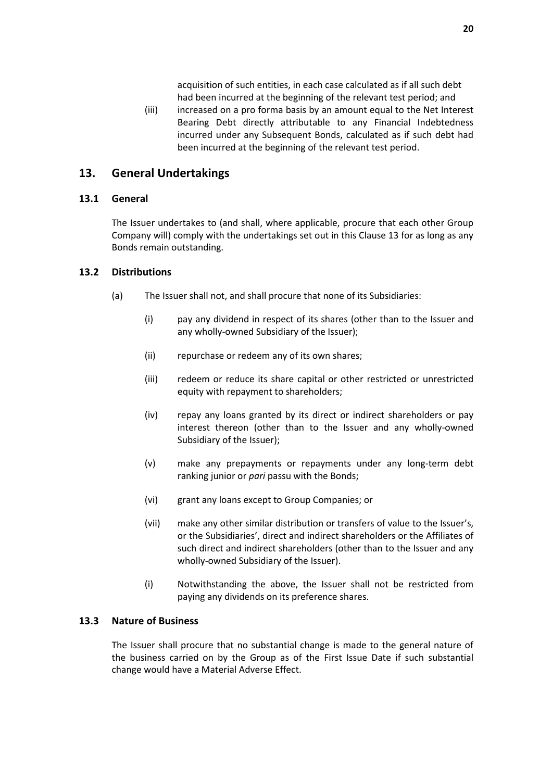acquisition of such entities, in each case calculated as if all such debt had been incurred at the beginning of the relevant test period; and

(iii) increased on a pro forma basis by an amount equal to the Net Interest Bearing Debt directly attributable to any Financial Indebtedness incurred under any Subsequent Bonds, calculated as if such debt had been incurred at the beginning of the relevant test period.

## **13. General Undertakings**

### **13.1 General**

The Issuer undertakes to (and shall, where applicable, procure that each other Group Company will) comply with the undertakings set out in this Clause 13 for as long as any Bonds remain outstanding.

### **13.2 Distributions**

- (a) The Issuer shall not, and shall procure that none of its Subsidiaries:
	- (i) pay any dividend in respect of its shares (other than to the Issuer and any wholly-owned Subsidiary of the Issuer);
	- (ii) repurchase or redeem any of its own shares;
	- (iii) redeem or reduce its share capital or other restricted or unrestricted equity with repayment to shareholders;
	- (iv) repay any loans granted by its direct or indirect shareholders or pay interest thereon (other than to the Issuer and any wholly-owned Subsidiary of the Issuer);
	- (v) make any prepayments or repayments under any long-term debt ranking junior or *pari* passu with the Bonds;
	- (vi) grant any loans except to Group Companies; or
	- (vii) make any other similar distribution or transfers of value to the Issuer's, or the Subsidiaries', direct and indirect shareholders or the Affiliates of such direct and indirect shareholders (other than to the Issuer and any wholly-owned Subsidiary of the Issuer).
	- (i) Notwithstanding the above, the Issuer shall not be restricted from paying any dividends on its preference shares.

#### **13.3 Nature of Business**

The Issuer shall procure that no substantial change is made to the general nature of the business carried on by the Group as of the First Issue Date if such substantial change would have a Material Adverse Effect.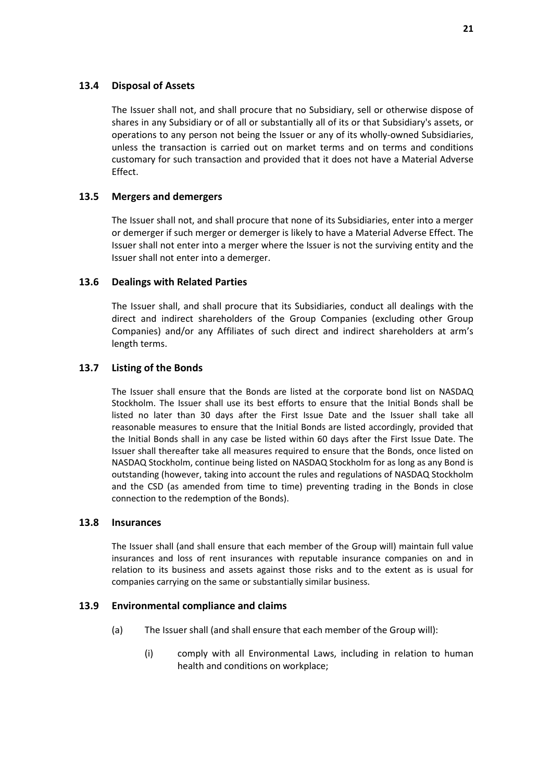### **13.4 Disposal of Assets**

The Issuer shall not, and shall procure that no Subsidiary, sell or otherwise dispose of shares in any Subsidiary or of all or substantially all of its or that Subsidiary's assets, or operations to any person not being the Issuer or any of its wholly-owned Subsidiaries, unless the transaction is carried out on market terms and on terms and conditions customary for such transaction and provided that it does not have a Material Adverse Effect.

### **13.5 Mergers and demergers**

The Issuer shall not, and shall procure that none of its Subsidiaries, enter into a merger or demerger if such merger or demerger is likely to have a Material Adverse Effect. The Issuer shall not enter into a merger where the Issuer is not the surviving entity and the Issuer shall not enter into a demerger.

### **13.6 Dealings with Related Parties**

The Issuer shall, and shall procure that its Subsidiaries, conduct all dealings with the direct and indirect shareholders of the Group Companies (excluding other Group Companies) and/or any Affiliates of such direct and indirect shareholders at arm's length terms.

### **13.7 Listing of the Bonds**

The Issuer shall ensure that the Bonds are listed at the corporate bond list on NASDAQ Stockholm. The Issuer shall use its best efforts to ensure that the Initial Bonds shall be listed no later than 30 days after the First Issue Date and the Issuer shall take all reasonable measures to ensure that the Initial Bonds are listed accordingly, provided that the Initial Bonds shall in any case be listed within 60 days after the First Issue Date. The Issuer shall thereafter take all measures required to ensure that the Bonds, once listed on NASDAQ Stockholm, continue being listed on NASDAQ Stockholm for as long as any Bond is outstanding (however, taking into account the rules and regulations of NASDAQ Stockholm and the CSD (as amended from time to time) preventing trading in the Bonds in close connection to the redemption of the Bonds).

#### **13.8 Insurances**

The Issuer shall (and shall ensure that each member of the Group will) maintain full value insurances and loss of rent insurances with reputable insurance companies on and in relation to its business and assets against those risks and to the extent as is usual for companies carrying on the same or substantially similar business.

#### **13.9 Environmental compliance and claims**

- (a) The Issuer shall (and shall ensure that each member of the Group will):
	- (i) comply with all Environmental Laws, including in relation to human health and conditions on workplace;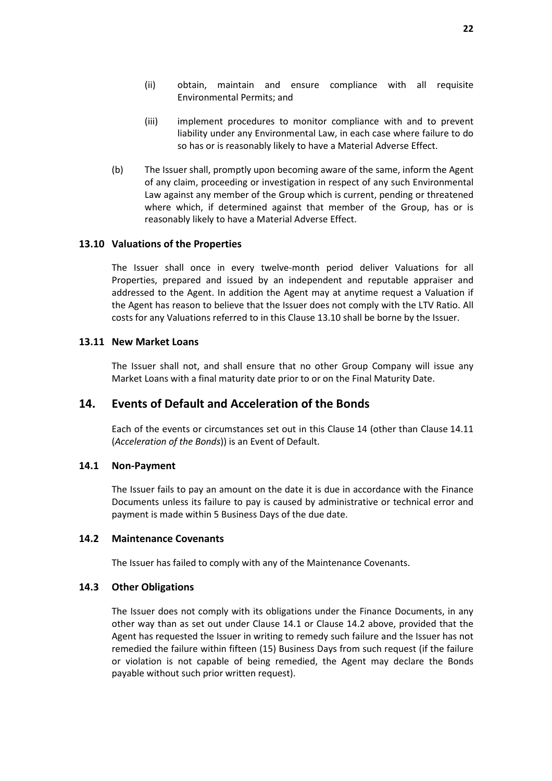- (ii) obtain, maintain and ensure compliance with all requisite Environmental Permits; and
- (iii) implement procedures to monitor compliance with and to prevent liability under any Environmental Law, in each case where failure to do so has or is reasonably likely to have a Material Adverse Effect.
- (b) The Issuer shall, promptly upon becoming aware of the same, inform the Agent of any claim, proceeding or investigation in respect of any such Environmental Law against any member of the Group which is current, pending or threatened where which, if determined against that member of the Group, has or is reasonably likely to have a Material Adverse Effect.

#### **13.10 Valuations of the Properties**

The Issuer shall once in every twelve-month period deliver Valuations for all Properties, prepared and issued by an independent and reputable appraiser and addressed to the Agent. In addition the Agent may at anytime request a Valuation if the Agent has reason to believe that the Issuer does not comply with the LTV Ratio. All costs for any Valuations referred to in this Clause 13.10 shall be borne by the Issuer.

### **13.11 New Market Loans**

The Issuer shall not, and shall ensure that no other Group Company will issue any Market Loans with a final maturity date prior to or on the Final Maturity Date.

## **14. Events of Default and Acceleration of the Bonds**

Each of the events or circumstances set out in this Clause 14 (other than Clause 14.11 (*Acceleration of the Bonds*)) is an Event of Default.

#### **14.1 Non-Payment**

The Issuer fails to pay an amount on the date it is due in accordance with the Finance Documents unless its failure to pay is caused by administrative or technical error and payment is made within 5 Business Days of the due date.

#### **14.2 Maintenance Covenants**

The Issuer has failed to comply with any of the Maintenance Covenants.

#### **14.3 Other Obligations**

The Issuer does not comply with its obligations under the Finance Documents, in any other way than as set out under Clause 14.1 or Clause 14.2 above, provided that the Agent has requested the Issuer in writing to remedy such failure and the Issuer has not remedied the failure within fifteen (15) Business Days from such request (if the failure or violation is not capable of being remedied, the Agent may declare the Bonds payable without such prior written request).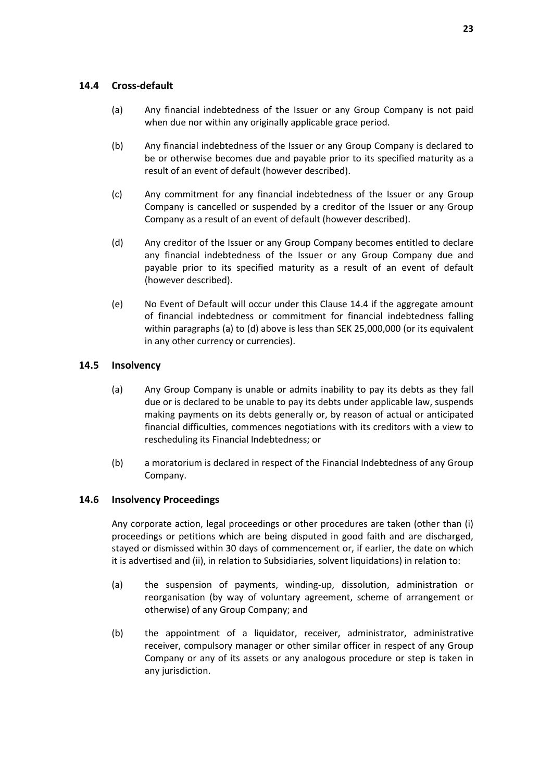### **14.4 Cross-default**

- (a) Any financial indebtedness of the Issuer or any Group Company is not paid when due nor within any originally applicable grace period.
- (b) Any financial indebtedness of the Issuer or any Group Company is declared to be or otherwise becomes due and payable prior to its specified maturity as a result of an event of default (however described).
- (c) Any commitment for any financial indebtedness of the Issuer or any Group Company is cancelled or suspended by a creditor of the Issuer or any Group Company as a result of an event of default (however described).
- (d) Any creditor of the Issuer or any Group Company becomes entitled to declare any financial indebtedness of the Issuer or any Group Company due and payable prior to its specified maturity as a result of an event of default (however described).
- (e) No Event of Default will occur under this Clause 14.4 if the aggregate amount of financial indebtedness or commitment for financial indebtedness falling within paragraphs (a) to (d) above is less than SEK 25,000,000 (or its equivalent in any other currency or currencies).

## **14.5 Insolvency**

- (a) Any Group Company is unable or admits inability to pay its debts as they fall due or is declared to be unable to pay its debts under applicable law, suspends making payments on its debts generally or, by reason of actual or anticipated financial difficulties, commences negotiations with its creditors with a view to rescheduling its Financial Indebtedness; or
- (b) a moratorium is declared in respect of the Financial Indebtedness of any Group Company.

## **14.6 Insolvency Proceedings**

Any corporate action, legal proceedings or other procedures are taken (other than (i) proceedings or petitions which are being disputed in good faith and are discharged, stayed or dismissed within 30 days of commencement or, if earlier, the date on which it is advertised and (ii), in relation to Subsidiaries, solvent liquidations) in relation to:

- (a) the suspension of payments, winding-up, dissolution, administration or reorganisation (by way of voluntary agreement, scheme of arrangement or otherwise) of any Group Company; and
- (b) the appointment of a liquidator, receiver, administrator, administrative receiver, compulsory manager or other similar officer in respect of any Group Company or any of its assets or any analogous procedure or step is taken in any jurisdiction.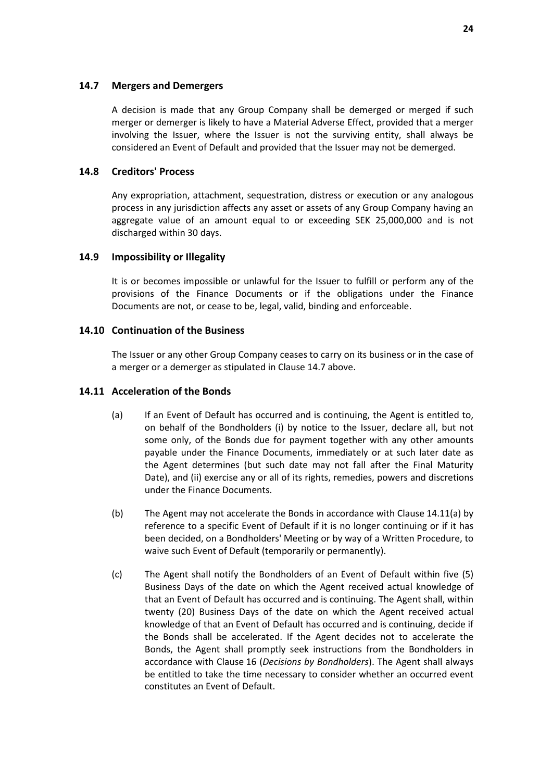### **14.7 Mergers and Demergers**

A decision is made that any Group Company shall be demerged or merged if such merger or demerger is likely to have a Material Adverse Effect, provided that a merger involving the Issuer, where the Issuer is not the surviving entity, shall always be considered an Event of Default and provided that the Issuer may not be demerged.

### **14.8 Creditors' Process**

Any expropriation, attachment, sequestration, distress or execution or any analogous process in any jurisdiction affects any asset or assets of any Group Company having an aggregate value of an amount equal to or exceeding SEK 25,000,000 and is not discharged within 30 days.

### **14.9 Impossibility or Illegality**

It is or becomes impossible or unlawful for the Issuer to fulfill or perform any of the provisions of the Finance Documents or if the obligations under the Finance Documents are not, or cease to be, legal, valid, binding and enforceable.

### **14.10 Continuation of the Business**

The Issuer or any other Group Company ceases to carry on its business or in the case of a merger or a demerger as stipulated in Clause 14.7 above.

#### **14.11 Acceleration of the Bonds**

- (a) If an Event of Default has occurred and is continuing, the Agent is entitled to, on behalf of the Bondholders (i) by notice to the Issuer, declare all, but not some only, of the Bonds due for payment together with any other amounts payable under the Finance Documents, immediately or at such later date as the Agent determines (but such date may not fall after the Final Maturity Date), and (ii) exercise any or all of its rights, remedies, powers and discretions under the Finance Documents.
- (b) The Agent may not accelerate the Bonds in accordance with Clause 14.11(a) by reference to a specific Event of Default if it is no longer continuing or if it has been decided, on a Bondholders' Meeting or by way of a Written Procedure, to waive such Event of Default (temporarily or permanently).
- (c) The Agent shall notify the Bondholders of an Event of Default within five (5) Business Days of the date on which the Agent received actual knowledge of that an Event of Default has occurred and is continuing. The Agent shall, within twenty (20) Business Days of the date on which the Agent received actual knowledge of that an Event of Default has occurred and is continuing, decide if the Bonds shall be accelerated. If the Agent decides not to accelerate the Bonds, the Agent shall promptly seek instructions from the Bondholders in accordance with Clause 16 (*Decisions by Bondholders*). The Agent shall always be entitled to take the time necessary to consider whether an occurred event constitutes an Event of Default.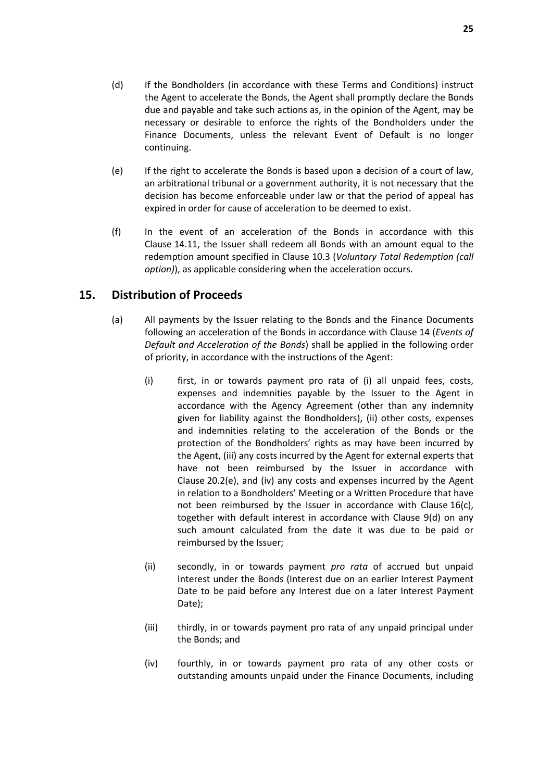- (d) If the Bondholders (in accordance with these Terms and Conditions) instruct the Agent to accelerate the Bonds, the Agent shall promptly declare the Bonds due and payable and take such actions as, in the opinion of the Agent, may be necessary or desirable to enforce the rights of the Bondholders under the Finance Documents, unless the relevant Event of Default is no longer continuing.
- (e) If the right to accelerate the Bonds is based upon a decision of a court of law, an arbitrational tribunal or a government authority, it is not necessary that the decision has become enforceable under law or that the period of appeal has expired in order for cause of acceleration to be deemed to exist.
- (f) In the event of an acceleration of the Bonds in accordance with this Clause 14.11, the Issuer shall redeem all Bonds with an amount equal to the redemption amount specified in Clause 10.3 (*Voluntary Total Redemption (call option)*), as applicable considering when the acceleration occurs.

## **15. Distribution of Proceeds**

- (a) All payments by the Issuer relating to the Bonds and the Finance Documents following an acceleration of the Bonds in accordance with Clause 14 (*Events of Default and Acceleration of the Bonds*) shall be applied in the following order of priority, in accordance with the instructions of the Agent:
	- (i) first, in or towards payment pro rata of (i) all unpaid fees, costs, expenses and indemnities payable by the Issuer to the Agent in accordance with the Agency Agreement (other than any indemnity given for liability against the Bondholders), (ii) other costs, expenses and indemnities relating to the acceleration of the Bonds or the protection of the Bondholders' rights as may have been incurred by the Agent, (iii) any costs incurred by the Agent for external experts that have not been reimbursed by the Issuer in accordance with Clause 20.2(e), and (iv) any costs and expenses incurred by the Agent in relation to a Bondholders' Meeting or a Written Procedure that have not been reimbursed by the Issuer in accordance with Clause 16(c), together with default interest in accordance with Clause 9(d) on any such amount calculated from the date it was due to be paid or reimbursed by the Issuer;
	- (ii) secondly, in or towards payment *pro rata* of accrued but unpaid Interest under the Bonds (Interest due on an earlier Interest Payment Date to be paid before any Interest due on a later Interest Payment Date);
	- (iii) thirdly, in or towards payment pro rata of any unpaid principal under the Bonds; and
	- (iv) fourthly, in or towards payment pro rata of any other costs or outstanding amounts unpaid under the Finance Documents, including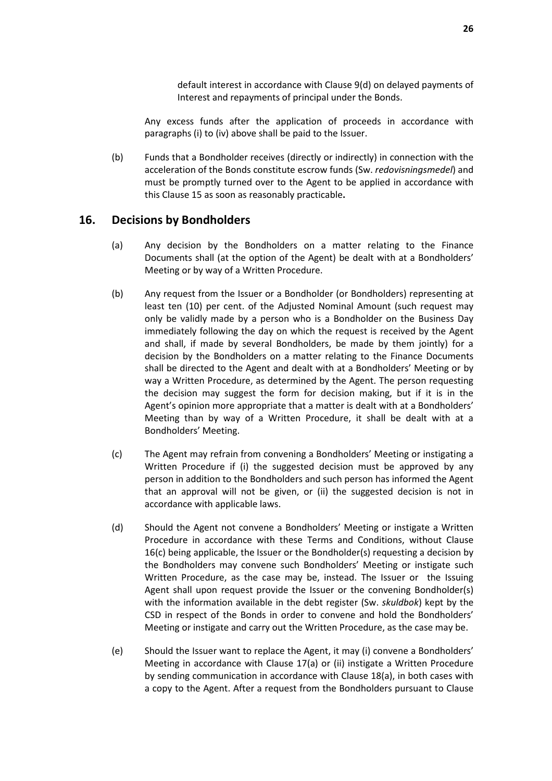default interest in accordance with Clause 9(d) on delayed payments of Interest and repayments of principal under the Bonds.

Any excess funds after the application of proceeds in accordance with paragraphs (i) to (iv) above shall be paid to the Issuer.

(b) Funds that a Bondholder receives (directly or indirectly) in connection with the acceleration of the Bonds constitute escrow funds (Sw. *redovisningsmedel*) and must be promptly turned over to the Agent to be applied in accordance with this Clause 15 as soon as reasonably practicable**.**

## **16. Decisions by Bondholders**

- (a) Any decision by the Bondholders on a matter relating to the Finance Documents shall (at the option of the Agent) be dealt with at a Bondholders' Meeting or by way of a Written Procedure.
- (b) Any request from the Issuer or a Bondholder (or Bondholders) representing at least ten (10) per cent. of the Adjusted Nominal Amount (such request may only be validly made by a person who is a Bondholder on the Business Day immediately following the day on which the request is received by the Agent and shall, if made by several Bondholders, be made by them jointly) for a decision by the Bondholders on a matter relating to the Finance Documents shall be directed to the Agent and dealt with at a Bondholders' Meeting or by way a Written Procedure, as determined by the Agent. The person requesting the decision may suggest the form for decision making, but if it is in the Agent's opinion more appropriate that a matter is dealt with at a Bondholders' Meeting than by way of a Written Procedure, it shall be dealt with at a Bondholders' Meeting.
- (c) The Agent may refrain from convening a Bondholders' Meeting or instigating a Written Procedure if (i) the suggested decision must be approved by any person in addition to the Bondholders and such person has informed the Agent that an approval will not be given, or (ii) the suggested decision is not in accordance with applicable laws.
- (d) Should the Agent not convene a Bondholders' Meeting or instigate a Written Procedure in accordance with these Terms and Conditions, without Clause 16(c) being applicable, the Issuer or the Bondholder(s) requesting a decision by the Bondholders may convene such Bondholders' Meeting or instigate such Written Procedure, as the case may be, instead. The Issuer or the Issuing Agent shall upon request provide the Issuer or the convening Bondholder(s) with the information available in the debt register (Sw. *skuldbok*) kept by the CSD in respect of the Bonds in order to convene and hold the Bondholders' Meeting or instigate and carry out the Written Procedure, as the case may be.
- (e) Should the Issuer want to replace the Agent, it may (i) convene a Bondholders' Meeting in accordance with Clause 17(a) or (ii) instigate a Written Procedure by sending communication in accordance with Clause 18(a), in both cases with a copy to the Agent. After a request from the Bondholders pursuant to Clause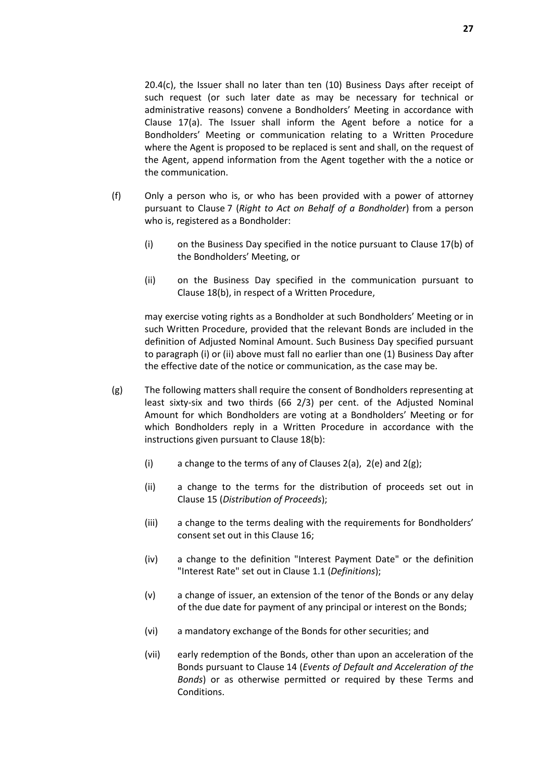20.4(c), the Issuer shall no later than ten (10) Business Days after receipt of such request (or such later date as may be necessary for technical or administrative reasons) convene a Bondholders' Meeting in accordance with Clause 17(a). The Issuer shall inform the Agent before a notice for a Bondholders' Meeting or communication relating to a Written Procedure where the Agent is proposed to be replaced is sent and shall, on the request of the Agent, append information from the Agent together with the a notice or the communication.

- (f) Only a person who is, or who has been provided with a power of attorney pursuant to Clause 7 (*Right to Act on Behalf of a Bondholder*) from a person who is, registered as a Bondholder:
	- (i) on the Business Day specified in the notice pursuant to Clause 17(b) of the Bondholders' Meeting, or
	- (ii) on the Business Day specified in the communication pursuant to Clause 18(b), in respect of a Written Procedure,

may exercise voting rights as a Bondholder at such Bondholders' Meeting or in such Written Procedure, provided that the relevant Bonds are included in the definition of Adjusted Nominal Amount. Such Business Day specified pursuant to paragraph (i) or (ii) above must fall no earlier than one (1) Business Day after the effective date of the notice or communication, as the case may be.

- (g) The following matters shall require the consent of Bondholders representing at least sixty-six and two thirds (66 2/3) per cent. of the Adjusted Nominal Amount for which Bondholders are voting at a Bondholders' Meeting or for which Bondholders reply in a Written Procedure in accordance with the instructions given pursuant to Clause 18(b):
	- (i) a change to the terms of any of Clauses  $2(a)$ ,  $2(e)$  and  $2(g)$ ;
	- (ii) a change to the terms for the distribution of proceeds set out in Clause 15 (*Distribution of Proceeds*);
	- (iii) a change to the terms dealing with the requirements for Bondholders' consent set out in this Clause 16;
	- (iv) a change to the definition "Interest Payment Date" or the definition "Interest Rate" set out in Clause 1.1 (*Definitions*);
	- (v) a change of issuer, an extension of the tenor of the Bonds or any delay of the due date for payment of any principal or interest on the Bonds;
	- (vi) a mandatory exchange of the Bonds for other securities; and
	- (vii) early redemption of the Bonds, other than upon an acceleration of the Bonds pursuant to Clause 14 (*Events of Default and Acceleration of the Bonds*) or as otherwise permitted or required by these Terms and Conditions.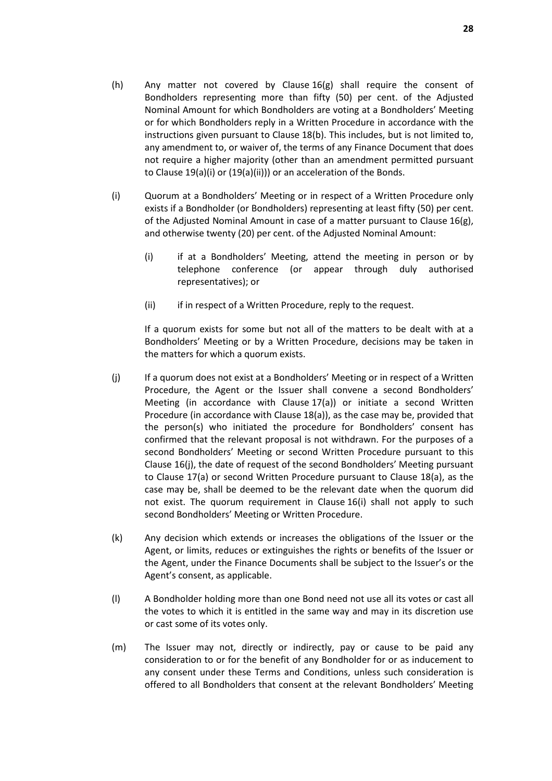- (h) Any matter not covered by Clause  $16(g)$  shall require the consent of Bondholders representing more than fifty (50) per cent. of the Adjusted Nominal Amount for which Bondholders are voting at a Bondholders' Meeting or for which Bondholders reply in a Written Procedure in accordance with the instructions given pursuant to Clause 18(b). This includes, but is not limited to, any amendment to, or waiver of, the terms of any Finance Document that does not require a higher majority (other than an amendment permitted pursuant to Clause 19(a)(i) or (19(a)(ii))) or an acceleration of the Bonds.
- (i) Quorum at a Bondholders' Meeting or in respect of a Written Procedure only exists if a Bondholder (or Bondholders) representing at least fifty (50) per cent. of the Adjusted Nominal Amount in case of a matter pursuant to Clause 16(g), and otherwise twenty (20) per cent. of the Adjusted Nominal Amount:
	- (i) if at a Bondholders' Meeting, attend the meeting in person or by telephone conference (or appear through duly authorised representatives); or
	- (ii) if in respect of a Written Procedure, reply to the request.

If a quorum exists for some but not all of the matters to be dealt with at a Bondholders' Meeting or by a Written Procedure, decisions may be taken in the matters for which a quorum exists.

- (j) If a quorum does not exist at a Bondholders' Meeting or in respect of a Written Procedure, the Agent or the Issuer shall convene a second Bondholders' Meeting (in accordance with Clause 17(a)) or initiate a second Written Procedure (in accordance with Clause 18(a)), as the case may be, provided that the person(s) who initiated the procedure for Bondholders' consent has confirmed that the relevant proposal is not withdrawn. For the purposes of a second Bondholders' Meeting or second Written Procedure pursuant to this Clause 16(j), the date of request of the second Bondholders' Meeting pursuant to Clause 17(a) or second Written Procedure pursuant to Clause 18(a), as the case may be, shall be deemed to be the relevant date when the quorum did not exist. The quorum requirement in Clause 16(i) shall not apply to such second Bondholders' Meeting or Written Procedure.
- (k) Any decision which extends or increases the obligations of the Issuer or the Agent, or limits, reduces or extinguishes the rights or benefits of the Issuer or the Agent, under the Finance Documents shall be subject to the Issuer's or the Agent's consent, as applicable.
- (l) A Bondholder holding more than one Bond need not use all its votes or cast all the votes to which it is entitled in the same way and may in its discretion use or cast some of its votes only.
- (m) The Issuer may not, directly or indirectly, pay or cause to be paid any consideration to or for the benefit of any Bondholder for or as inducement to any consent under these Terms and Conditions, unless such consideration is offered to all Bondholders that consent at the relevant Bondholders' Meeting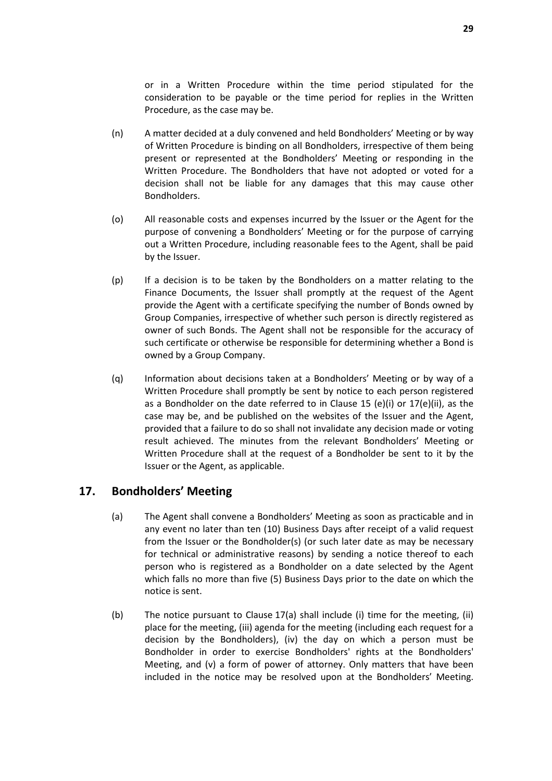or in a Written Procedure within the time period stipulated for the consideration to be payable or the time period for replies in the Written Procedure, as the case may be.

- (n) A matter decided at a duly convened and held Bondholders' Meeting or by way of Written Procedure is binding on all Bondholders, irrespective of them being present or represented at the Bondholders' Meeting or responding in the Written Procedure. The Bondholders that have not adopted or voted for a decision shall not be liable for any damages that this may cause other Bondholders.
- (o) All reasonable costs and expenses incurred by the Issuer or the Agent for the purpose of convening a Bondholders' Meeting or for the purpose of carrying out a Written Procedure, including reasonable fees to the Agent, shall be paid by the Issuer.
- (p) If a decision is to be taken by the Bondholders on a matter relating to the Finance Documents, the Issuer shall promptly at the request of the Agent provide the Agent with a certificate specifying the number of Bonds owned by Group Companies, irrespective of whether such person is directly registered as owner of such Bonds. The Agent shall not be responsible for the accuracy of such certificate or otherwise be responsible for determining whether a Bond is owned by a Group Company.
- (q) Information about decisions taken at a Bondholders' Meeting or by way of a Written Procedure shall promptly be sent by notice to each person registered as a Bondholder on the date referred to in Clause 15 (e)(i) or 17(e)(ii), as the case may be, and be published on the websites of the Issuer and the Agent, provided that a failure to do so shall not invalidate any decision made or voting result achieved. The minutes from the relevant Bondholders' Meeting or Written Procedure shall at the request of a Bondholder be sent to it by the Issuer or the Agent, as applicable.

## **17. Bondholders' Meeting**

- (a) The Agent shall convene a Bondholders' Meeting as soon as practicable and in any event no later than ten (10) Business Days after receipt of a valid request from the Issuer or the Bondholder(s) (or such later date as may be necessary for technical or administrative reasons) by sending a notice thereof to each person who is registered as a Bondholder on a date selected by the Agent which falls no more than five (5) Business Days prior to the date on which the notice is sent.
- (b) The notice pursuant to Clause 17(a) shall include (i) time for the meeting, (ii) place for the meeting, (iii) agenda for the meeting (including each request for a decision by the Bondholders), (iv) the day on which a person must be Bondholder in order to exercise Bondholders' rights at the Bondholders' Meeting, and (v) a form of power of attorney. Only matters that have been included in the notice may be resolved upon at the Bondholders' Meeting.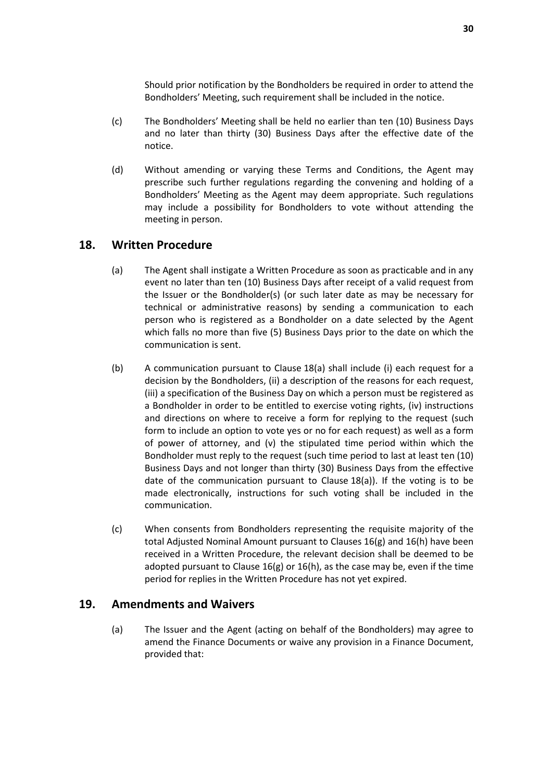Should prior notification by the Bondholders be required in order to attend the Bondholders' Meeting, such requirement shall be included in the notice.

- (c) The Bondholders' Meeting shall be held no earlier than ten (10) Business Days and no later than thirty (30) Business Days after the effective date of the notice.
- (d) Without amending or varying these Terms and Conditions, the Agent may prescribe such further regulations regarding the convening and holding of a Bondholders' Meeting as the Agent may deem appropriate. Such regulations may include a possibility for Bondholders to vote without attending the meeting in person.

## **18. Written Procedure**

- (a) The Agent shall instigate a Written Procedure as soon as practicable and in any event no later than ten (10) Business Days after receipt of a valid request from the Issuer or the Bondholder(s) (or such later date as may be necessary for technical or administrative reasons) by sending a communication to each person who is registered as a Bondholder on a date selected by the Agent which falls no more than five (5) Business Days prior to the date on which the communication is sent.
- (b) A communication pursuant to Clause 18(a) shall include (i) each request for a decision by the Bondholders, (ii) a description of the reasons for each request, (iii) a specification of the Business Day on which a person must be registered as a Bondholder in order to be entitled to exercise voting rights, (iv) instructions and directions on where to receive a form for replying to the request (such form to include an option to vote yes or no for each request) as well as a form of power of attorney, and (v) the stipulated time period within which the Bondholder must reply to the request (such time period to last at least ten (10) Business Days and not longer than thirty (30) Business Days from the effective date of the communication pursuant to Clause 18(a)). If the voting is to be made electronically, instructions for such voting shall be included in the communication.
- (c) When consents from Bondholders representing the requisite majority of the total Adjusted Nominal Amount pursuant to Clauses 16(g) and 16(h) have been received in a Written Procedure, the relevant decision shall be deemed to be adopted pursuant to Clause 16(g) or 16(h), as the case may be, even if the time period for replies in the Written Procedure has not yet expired.

## **19. Amendments and Waivers**

(a) The Issuer and the Agent (acting on behalf of the Bondholders) may agree to amend the Finance Documents or waive any provision in a Finance Document, provided that: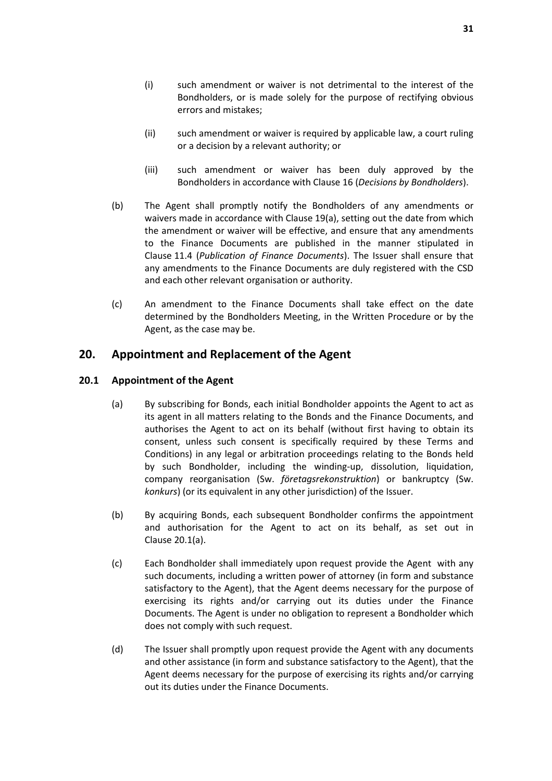- (i) such amendment or waiver is not detrimental to the interest of the Bondholders, or is made solely for the purpose of rectifying obvious errors and mistakes;
- (ii) such amendment or waiver is required by applicable law, a court ruling or a decision by a relevant authority; or
- (iii) such amendment or waiver has been duly approved by the Bondholders in accordance with Clause 16 (*Decisions by Bondholders*).
- (b) The Agent shall promptly notify the Bondholders of any amendments or waivers made in accordance with Clause 19(a), setting out the date from which the amendment or waiver will be effective, and ensure that any amendments to the Finance Documents are published in the manner stipulated in Clause 11.4 (*Publication of Finance Documents*). The Issuer shall ensure that any amendments to the Finance Documents are duly registered with the CSD and each other relevant organisation or authority.
- (c) An amendment to the Finance Documents shall take effect on the date determined by the Bondholders Meeting, in the Written Procedure or by the Agent, as the case may be.

## **20. Appointment and Replacement of the Agent**

#### **20.1 Appointment of the Agent**

- (a) By subscribing for Bonds, each initial Bondholder appoints the Agent to act as its agent in all matters relating to the Bonds and the Finance Documents, and authorises the Agent to act on its behalf (without first having to obtain its consent, unless such consent is specifically required by these Terms and Conditions) in any legal or arbitration proceedings relating to the Bonds held by such Bondholder, including the winding-up, dissolution, liquidation, company reorganisation (Sw. *företagsrekonstruktion*) or bankruptcy (Sw. *konkurs*) (or its equivalent in any other jurisdiction) of the Issuer.
- (b) By acquiring Bonds, each subsequent Bondholder confirms the appointment and authorisation for the Agent to act on its behalf, as set out in Clause 20.1(a).
- (c) Each Bondholder shall immediately upon request provide the Agent with any such documents, including a written power of attorney (in form and substance satisfactory to the Agent), that the Agent deems necessary for the purpose of exercising its rights and/or carrying out its duties under the Finance Documents. The Agent is under no obligation to represent a Bondholder which does not comply with such request.
- (d) The Issuer shall promptly upon request provide the Agent with any documents and other assistance (in form and substance satisfactory to the Agent), that the Agent deems necessary for the purpose of exercising its rights and/or carrying out its duties under the Finance Documents.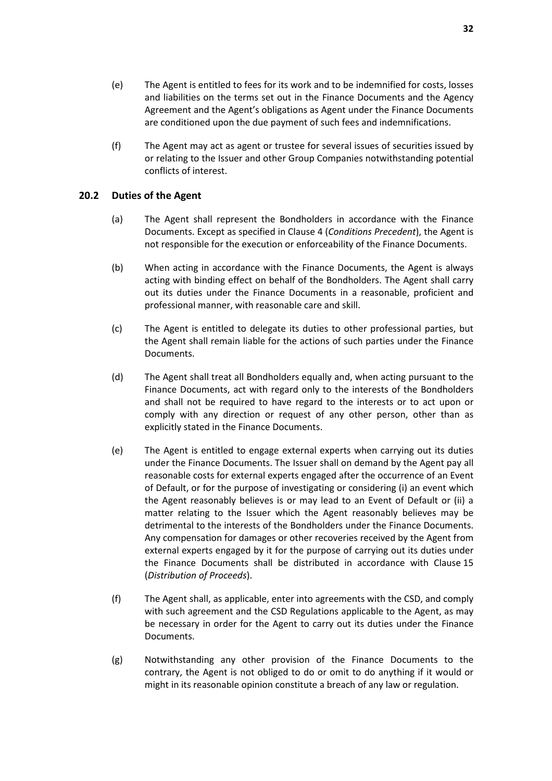(f) The Agent may act as agent or trustee for several issues of securities issued by or relating to the Issuer and other Group Companies notwithstanding potential conflicts of interest.

## **20.2 Duties of the Agent**

- (a) The Agent shall represent the Bondholders in accordance with the Finance Documents. Except as specified in Clause 4 (*Conditions Precedent*), the Agent is not responsible for the execution or enforceability of the Finance Documents.
- (b) When acting in accordance with the Finance Documents, the Agent is always acting with binding effect on behalf of the Bondholders. The Agent shall carry out its duties under the Finance Documents in a reasonable, proficient and professional manner, with reasonable care and skill.
- (c) The Agent is entitled to delegate its duties to other professional parties, but the Agent shall remain liable for the actions of such parties under the Finance Documents.
- (d) The Agent shall treat all Bondholders equally and, when acting pursuant to the Finance Documents, act with regard only to the interests of the Bondholders and shall not be required to have regard to the interests or to act upon or comply with any direction or request of any other person, other than as explicitly stated in the Finance Documents.
- (e) The Agent is entitled to engage external experts when carrying out its duties under the Finance Documents. The Issuer shall on demand by the Agent pay all reasonable costs for external experts engaged after the occurrence of an Event of Default, or for the purpose of investigating or considering (i) an event which the Agent reasonably believes is or may lead to an Event of Default or (ii) a matter relating to the Issuer which the Agent reasonably believes may be detrimental to the interests of the Bondholders under the Finance Documents. Any compensation for damages or other recoveries received by the Agent from external experts engaged by it for the purpose of carrying out its duties under the Finance Documents shall be distributed in accordance with Clause 15 (*Distribution of Proceeds*).
- (f) The Agent shall, as applicable, enter into agreements with the CSD, and comply with such agreement and the CSD Regulations applicable to the Agent, as may be necessary in order for the Agent to carry out its duties under the Finance Documents.
- (g) Notwithstanding any other provision of the Finance Documents to the contrary, the Agent is not obliged to do or omit to do anything if it would or might in its reasonable opinion constitute a breach of any law or regulation.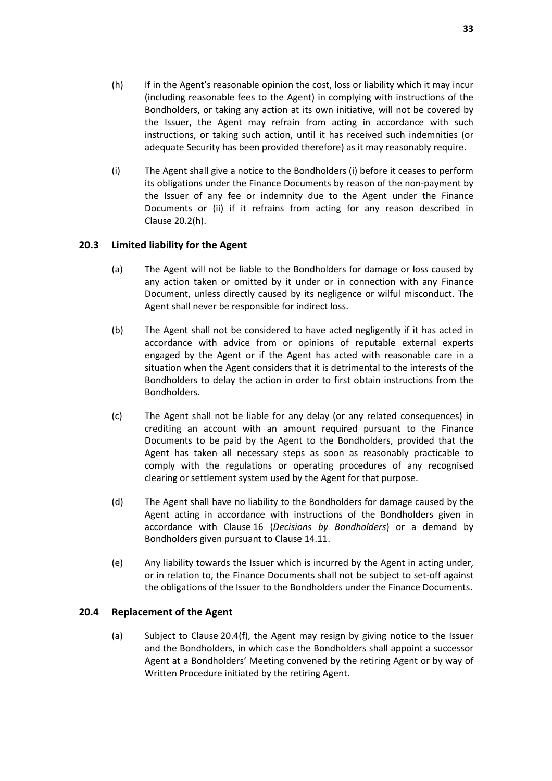- (h) If in the Agent's reasonable opinion the cost, loss or liability which it may incur (including reasonable fees to the Agent) in complying with instructions of the Bondholders, or taking any action at its own initiative, will not be covered by the Issuer, the Agent may refrain from acting in accordance with such instructions, or taking such action, until it has received such indemnities (or adequate Security has been provided therefore) as it may reasonably require.
- (i) The Agent shall give a notice to the Bondholders (i) before it ceases to perform its obligations under the Finance Documents by reason of the non-payment by the Issuer of any fee or indemnity due to the Agent under the Finance Documents or (ii) if it refrains from acting for any reason described in Clause 20.2(h).

## **20.3 Limited liability for the Agent**

- (a) The Agent will not be liable to the Bondholders for damage or loss caused by any action taken or omitted by it under or in connection with any Finance Document, unless directly caused by its negligence or wilful misconduct. The Agent shall never be responsible for indirect loss.
- (b) The Agent shall not be considered to have acted negligently if it has acted in accordance with advice from or opinions of reputable external experts engaged by the Agent or if the Agent has acted with reasonable care in a situation when the Agent considers that it is detrimental to the interests of the Bondholders to delay the action in order to first obtain instructions from the Bondholders.
- (c) The Agent shall not be liable for any delay (or any related consequences) in crediting an account with an amount required pursuant to the Finance Documents to be paid by the Agent to the Bondholders, provided that the Agent has taken all necessary steps as soon as reasonably practicable to comply with the regulations or operating procedures of any recognised clearing or settlement system used by the Agent for that purpose.
- (d) The Agent shall have no liability to the Bondholders for damage caused by the Agent acting in accordance with instructions of the Bondholders given in accordance with Clause 16 (*Decisions by Bondholders*) or a demand by Bondholders given pursuant to Clause 14.11.
- (e) Any liability towards the Issuer which is incurred by the Agent in acting under, or in relation to, the Finance Documents shall not be subject to set-off against the obligations of the Issuer to the Bondholders under the Finance Documents.

#### **20.4 Replacement of the Agent**

(a) Subject to Clause 20.4(f), the Agent may resign by giving notice to the Issuer and the Bondholders, in which case the Bondholders shall appoint a successor Agent at a Bondholders' Meeting convened by the retiring Agent or by way of Written Procedure initiated by the retiring Agent.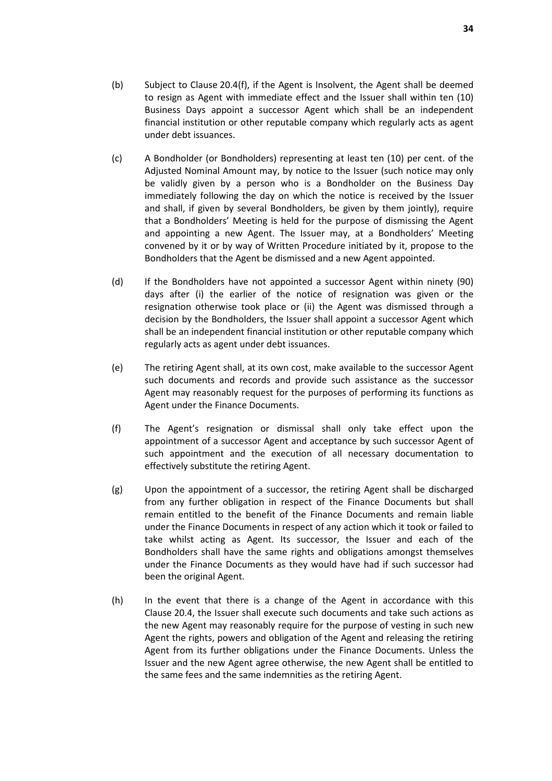- (b) Subject to Clause 20.4(f), if the Agent is Insolvent, the Agent shall be deemed to resign as Agent with immediate effect and the Issuer shall within ten (10) Business Days appoint a successor Agent which shall be an independent financial institution or other reputable company which regularly acts as agent under debt issuances.
- (c) A Bondholder (or Bondholders) representing at least ten (10) per cent. of the Adjusted Nominal Amount may, by notice to the Issuer (such notice may only be validly given by a person who is a Bondholder on the Business Day immediately following the day on which the notice is received by the Issuer and shall, if given by several Bondholders, be given by them jointly), require that a Bondholders' Meeting is held for the purpose of dismissing the Agent and appointing a new Agent. The Issuer may, at a Bondholders' Meeting convened by it or by way of Written Procedure initiated by it, propose to the Bondholders that the Agent be dismissed and a new Agent appointed.
- (d) If the Bondholders have not appointed a successor Agent within ninety (90) days after (i) the earlier of the notice of resignation was given or the resignation otherwise took place or (ii) the Agent was dismissed through a decision by the Bondholders, the Issuer shall appoint a successor Agent which shall be an independent financial institution or other reputable company which regularly acts as agent under debt issuances.
- (e) The retiring Agent shall, at its own cost, make available to the successor Agent such documents and records and provide such assistance as the successor Agent may reasonably request for the purposes of performing its functions as Agent under the Finance Documents.
- (f) The Agent's resignation or dismissal shall only take effect upon the appointment of a successor Agent and acceptance by such successor Agent of such appointment and the execution of all necessary documentation to effectively substitute the retiring Agent.
- (g) Upon the appointment of a successor, the retiring Agent shall be discharged from any further obligation in respect of the Finance Documents but shall remain entitled to the benefit of the Finance Documents and remain liable under the Finance Documents in respect of any action which it took or failed to take whilst acting as Agent. Its successor, the Issuer and each of the Bondholders shall have the same rights and obligations amongst themselves under the Finance Documents as they would have had if such successor had been the original Agent.
- (h) In the event that there is a change of the Agent in accordance with this Clause 20.4, the Issuer shall execute such documents and take such actions as the new Agent may reasonably require for the purpose of vesting in such new Agent the rights, powers and obligation of the Agent and releasing the retiring Agent from its further obligations under the Finance Documents. Unless the Issuer and the new Agent agree otherwise, the new Agent shall be entitled to the same fees and the same indemnities as the retiring Agent.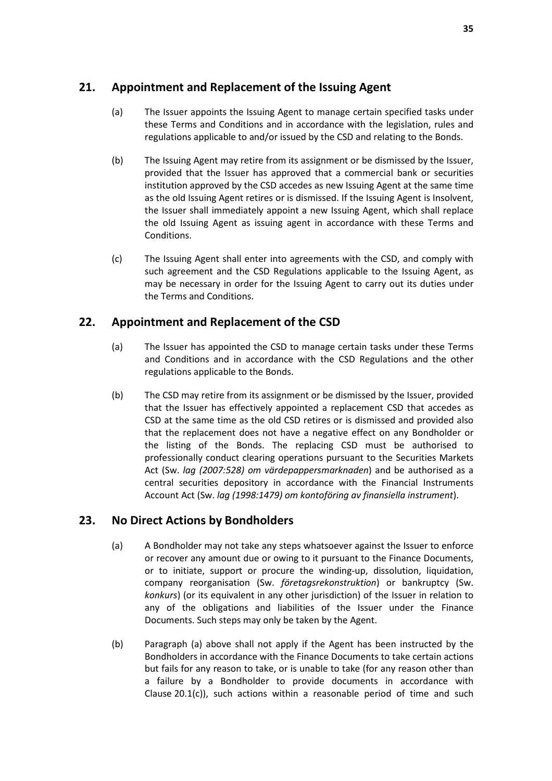## **21. Appointment and Replacement of the Issuing Agent**

- (a) The Issuer appoints the Issuing Agent to manage certain specified tasks under these Terms and Conditions and in accordance with the legislation, rules and regulations applicable to and/or issued by the CSD and relating to the Bonds.
- (b) The Issuing Agent may retire from its assignment or be dismissed by the Issuer, provided that the Issuer has approved that a commercial bank or securities institution approved by the CSD accedes as new Issuing Agent at the same time as the old Issuing Agent retires or is dismissed. If the Issuing Agent is Insolvent, the Issuer shall immediately appoint a new Issuing Agent, which shall replace the old Issuing Agent as issuing agent in accordance with these Terms and Conditions.
- (c) The Issuing Agent shall enter into agreements with the CSD, and comply with such agreement and the CSD Regulations applicable to the Issuing Agent, as may be necessary in order for the Issuing Agent to carry out its duties under the Terms and Conditions.

## **22. Appointment and Replacement of the CSD**

- (a) The Issuer has appointed the CSD to manage certain tasks under these Terms and Conditions and in accordance with the CSD Regulations and the other regulations applicable to the Bonds.
- (b) The CSD may retire from its assignment or be dismissed by the Issuer, provided that the Issuer has effectively appointed a replacement CSD that accedes as CSD at the same time as the old CSD retires or is dismissed and provided also that the replacement does not have a negative effect on any Bondholder or the listing of the Bonds. The replacing CSD must be authorised to professionally conduct clearing operations pursuant to the Securities Markets Act (Sw. *lag (2007:528) om värdepappersmarknaden*) and be authorised as a central securities depository in accordance with the Financial Instruments Account Act (Sw. *lag (1998:1479) om kontoföring av finansiella instrument*).

## **23. No Direct Actions by Bondholders**

- (a) A Bondholder may not take any steps whatsoever against the Issuer to enforce or recover any amount due or owing to it pursuant to the Finance Documents, or to initiate, support or procure the winding-up, dissolution, liquidation, company reorganisation (Sw. *företagsrekonstruktion*) or bankruptcy (Sw. *konkurs*) (or its equivalent in any other jurisdiction) of the Issuer in relation to any of the obligations and liabilities of the Issuer under the Finance Documents. Such steps may only be taken by the Agent.
- (b) Paragraph (a) above shall not apply if the Agent has been instructed by the Bondholders in accordance with the Finance Documents to take certain actions but fails for any reason to take, or is unable to take (for any reason other than a failure by a Bondholder to provide documents in accordance with Clause 20.1(c)), such actions within a reasonable period of time and such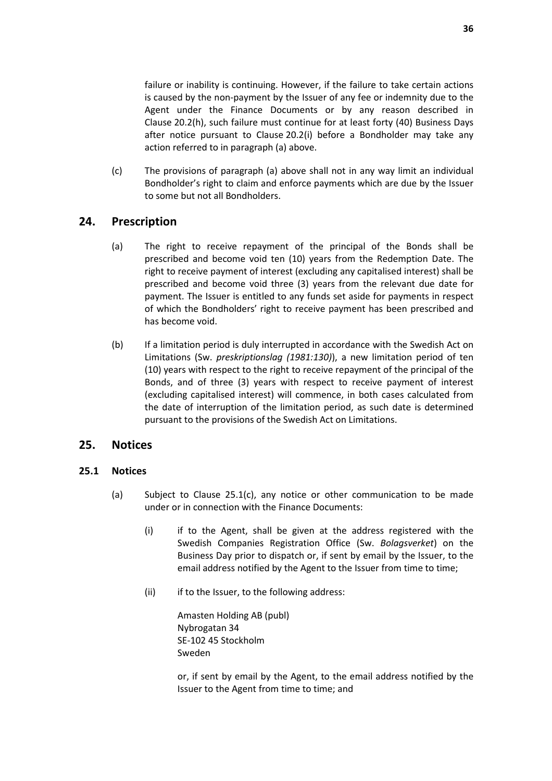failure or inability is continuing. However, if the failure to take certain actions is caused by the non-payment by the Issuer of any fee or indemnity due to the Agent under the Finance Documents or by any reason described in Clause 20.2(h), such failure must continue for at least forty (40) Business Days after notice pursuant to Clause 20.2(i) before a Bondholder may take any action referred to in paragraph (a) above.

(c) The provisions of paragraph (a) above shall not in any way limit an individual Bondholder's right to claim and enforce payments which are due by the Issuer to some but not all Bondholders.

## **24. Prescription**

- (a) The right to receive repayment of the principal of the Bonds shall be prescribed and become void ten (10) years from the Redemption Date. The right to receive payment of interest (excluding any capitalised interest) shall be prescribed and become void three (3) years from the relevant due date for payment. The Issuer is entitled to any funds set aside for payments in respect of which the Bondholders' right to receive payment has been prescribed and has become void.
- (b) If a limitation period is duly interrupted in accordance with the Swedish Act on Limitations (Sw. *preskriptionslag (1981:130)*), a new limitation period of ten (10) years with respect to the right to receive repayment of the principal of the Bonds, and of three (3) years with respect to receive payment of interest (excluding capitalised interest) will commence, in both cases calculated from the date of interruption of the limitation period, as such date is determined pursuant to the provisions of the Swedish Act on Limitations.

## **25. Notices**

#### **25.1 Notices**

- (a) Subject to Clause 25.1(c), any notice or other communication to be made under or in connection with the Finance Documents:
	- (i) if to the Agent, shall be given at the address registered with the Swedish Companies Registration Office (Sw. *Bolagsverket*) on the Business Day prior to dispatch or, if sent by email by the Issuer, to the email address notified by the Agent to the Issuer from time to time;
	- (ii) if to the Issuer, to the following address:

Amasten Holding AB (publ) Nybrogatan 34 SE-102 45 Stockholm Sweden

or, if sent by email by the Agent, to the email address notified by the Issuer to the Agent from time to time; and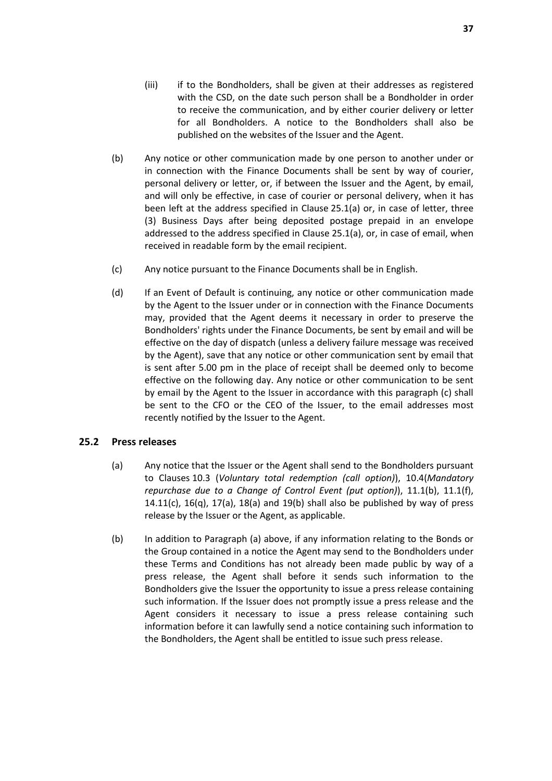- (iii) if to the Bondholders, shall be given at their addresses as registered with the CSD, on the date such person shall be a Bondholder in order to receive the communication, and by either courier delivery or letter for all Bondholders. A notice to the Bondholders shall also be published on the websites of the Issuer and the Agent.
- (b) Any notice or other communication made by one person to another under or in connection with the Finance Documents shall be sent by way of courier, personal delivery or letter, or, if between the Issuer and the Agent, by email, and will only be effective, in case of courier or personal delivery, when it has been left at the address specified in Clause 25.1(a) or, in case of letter, three (3) Business Days after being deposited postage prepaid in an envelope addressed to the address specified in Clause 25.1(a), or, in case of email, when received in readable form by the email recipient.
- (c) Any notice pursuant to the Finance Documents shall be in English.
- (d) If an Event of Default is continuing, any notice or other communication made by the Agent to the Issuer under or in connection with the Finance Documents may, provided that the Agent deems it necessary in order to preserve the Bondholders' rights under the Finance Documents, be sent by email and will be effective on the day of dispatch (unless a delivery failure message was received by the Agent), save that any notice or other communication sent by email that is sent after 5.00 pm in the place of receipt shall be deemed only to become effective on the following day. Any notice or other communication to be sent by email by the Agent to the Issuer in accordance with this paragraph (c) shall be sent to the CFO or the CEO of the Issuer, to the email addresses most recently notified by the Issuer to the Agent.

#### **25.2 Press releases**

- (a) Any notice that the Issuer or the Agent shall send to the Bondholders pursuant to Clauses 10.3 (*Voluntary total redemption (call option)*), 10.4(*Mandatory repurchase due to a Change of Control Event (put option)*), 11.1(b), 11.1(f), 14.11(c),  $16(q)$ ,  $17(q)$ ,  $18(q)$  and  $19(b)$  shall also be published by way of press release by the Issuer or the Agent, as applicable.
- (b) In addition to Paragraph (a) above, if any information relating to the Bonds or the Group contained in a notice the Agent may send to the Bondholders under these Terms and Conditions has not already been made public by way of a press release, the Agent shall before it sends such information to the Bondholders give the Issuer the opportunity to issue a press release containing such information. If the Issuer does not promptly issue a press release and the Agent considers it necessary to issue a press release containing such information before it can lawfully send a notice containing such information to the Bondholders, the Agent shall be entitled to issue such press release.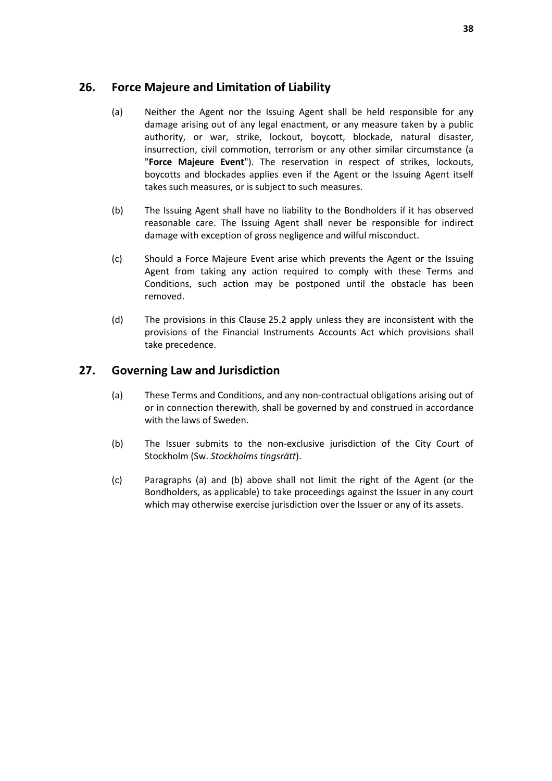## **26. Force Majeure and Limitation of Liability**

- (a) Neither the Agent nor the Issuing Agent shall be held responsible for any damage arising out of any legal enactment, or any measure taken by a public authority, or war, strike, lockout, boycott, blockade, natural disaster, insurrection, civil commotion, terrorism or any other similar circumstance (a "**Force Majeure Event**"). The reservation in respect of strikes, lockouts, boycotts and blockades applies even if the Agent or the Issuing Agent itself takes such measures, or is subject to such measures.
- (b) The Issuing Agent shall have no liability to the Bondholders if it has observed reasonable care. The Issuing Agent shall never be responsible for indirect damage with exception of gross negligence and wilful misconduct.
- (c) Should a Force Majeure Event arise which prevents the Agent or the Issuing Agent from taking any action required to comply with these Terms and Conditions, such action may be postponed until the obstacle has been removed.
- (d) The provisions in this Clause 25.2 apply unless they are inconsistent with the provisions of the Financial Instruments Accounts Act which provisions shall take precedence.

## **27. Governing Law and Jurisdiction**

- (a) These Terms and Conditions, and any non-contractual obligations arising out of or in connection therewith, shall be governed by and construed in accordance with the laws of Sweden.
- (b) The Issuer submits to the non-exclusive jurisdiction of the City Court of Stockholm (Sw. *Stockholms tingsrätt*).
- (c) Paragraphs (a) and (b) above shall not limit the right of the Agent (or the Bondholders, as applicable) to take proceedings against the Issuer in any court which may otherwise exercise jurisdiction over the Issuer or any of its assets.